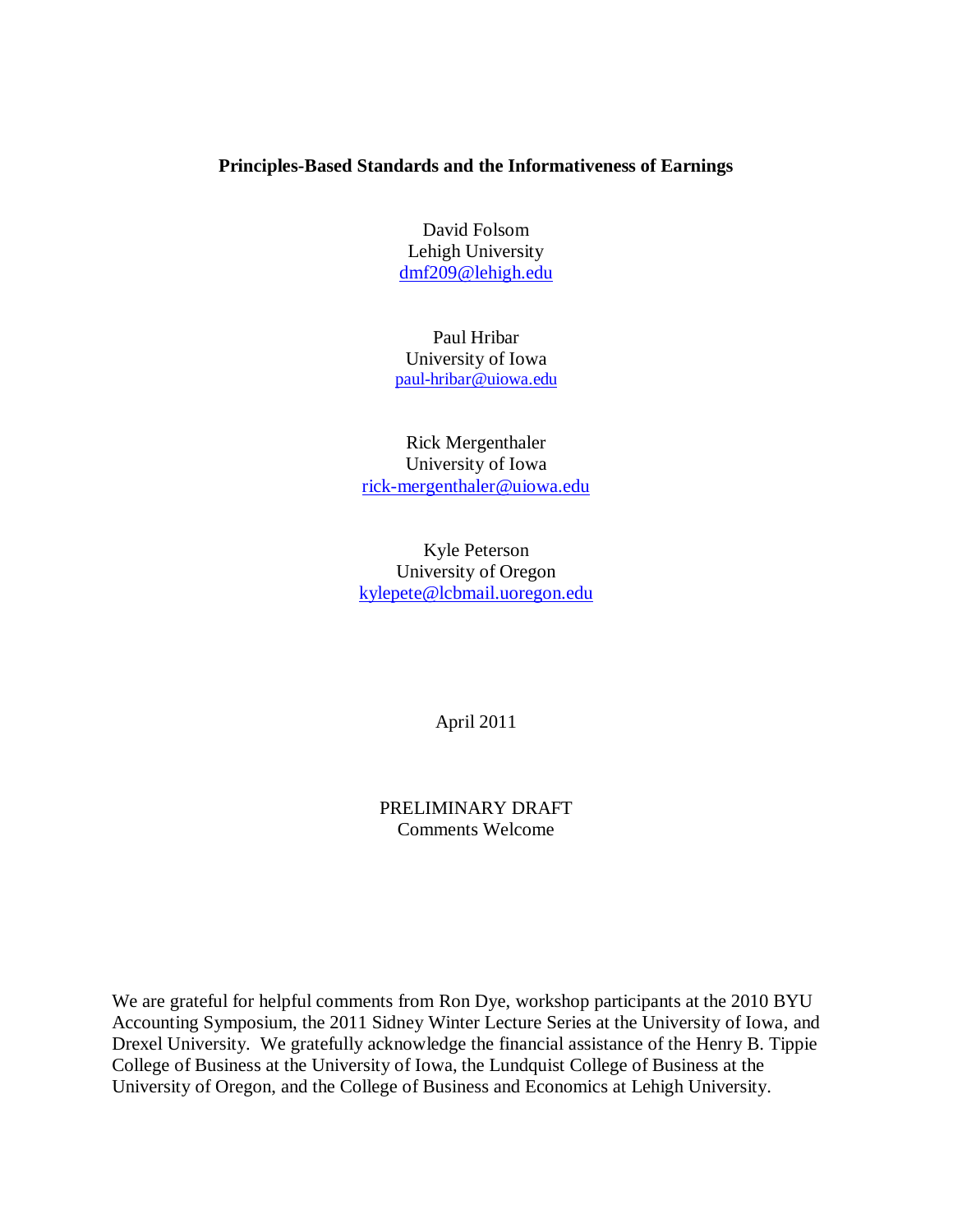## **Principles-Based Standards and the Informativeness of Earnings**

David Folsom Lehigh University [dmf209@lehigh.edu](mailto:dmf209@lehigh.edu)

Paul Hribar University of Iowa [paul-hribar@uiowa.edu](mailto:paul-hribar@uiowa.edu)

Rick Mergenthaler University of Iowa [rick-mergenthaler@uiowa.edu](mailto:rick-mergenthaler@uiowa.edu)

Kyle Peterson University of Oregon [kylepete@lcbmail.uoregon.edu](mailto:kylepete@lcbmail.uoregon.edu)

April 2011

PRELIMINARY DRAFT Comments Welcome

We are grateful for helpful comments from Ron Dye, workshop participants at the 2010 BYU Accounting Symposium, the 2011 Sidney Winter Lecture Series at the University of Iowa, and Drexel University. We gratefully acknowledge the financial assistance of the Henry B. Tippie College of Business at the University of Iowa, the Lundquist College of Business at the University of Oregon, and the College of Business and Economics at Lehigh University.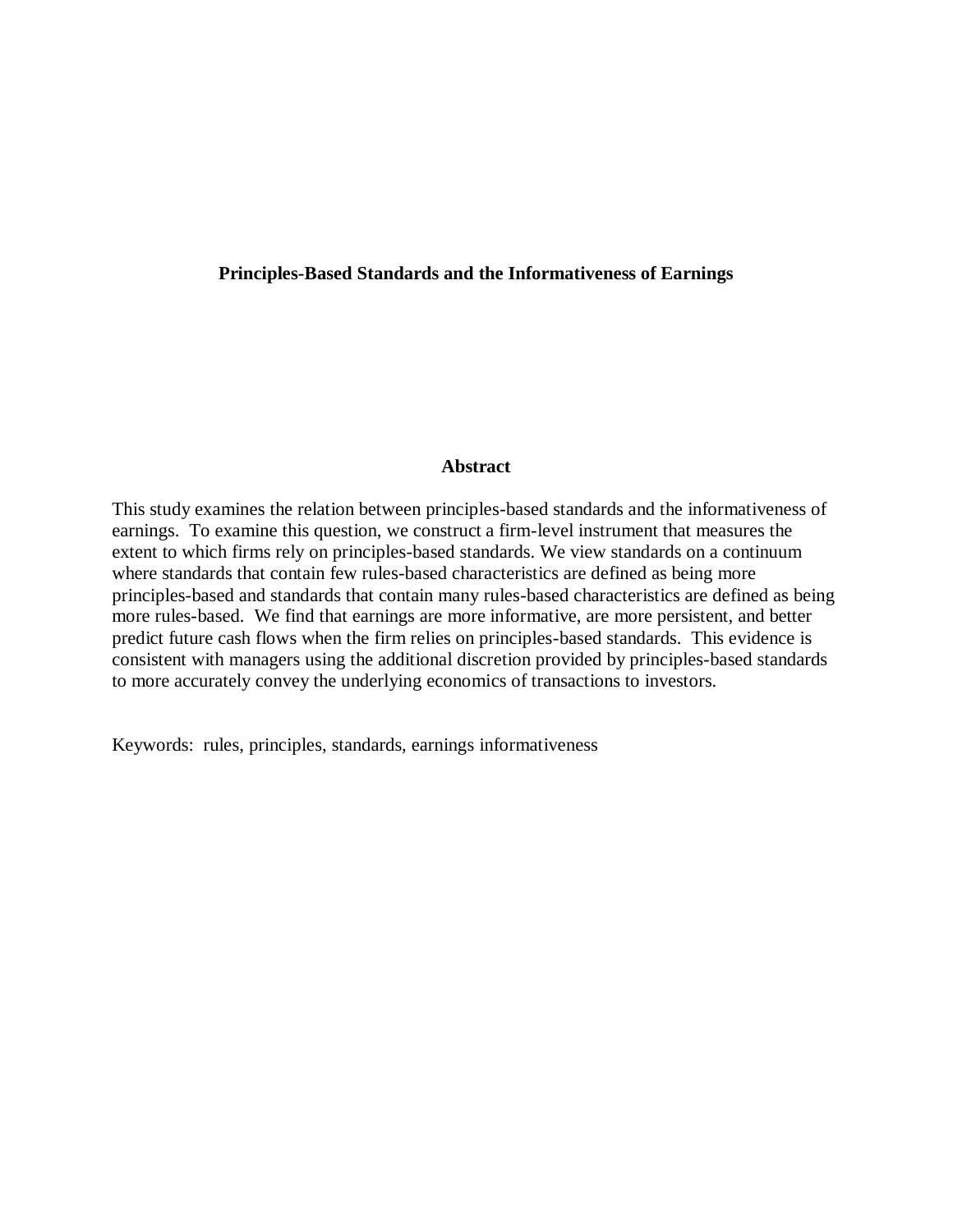### **Principles-Based Standards and the Informativeness of Earnings**

#### **Abstract**

This study examines the relation between principles-based standards and the informativeness of earnings. To examine this question, we construct a firm-level instrument that measures the extent to which firms rely on principles-based standards. We view standards on a continuum where standards that contain few rules-based characteristics are defined as being more principles-based and standards that contain many rules-based characteristics are defined as being more rules-based. We find that earnings are more informative, are more persistent, and better predict future cash flows when the firm relies on principles-based standards. This evidence is consistent with managers using the additional discretion provided by principles-based standards to more accurately convey the underlying economics of transactions to investors.

Keywords: rules, principles, standards, earnings informativeness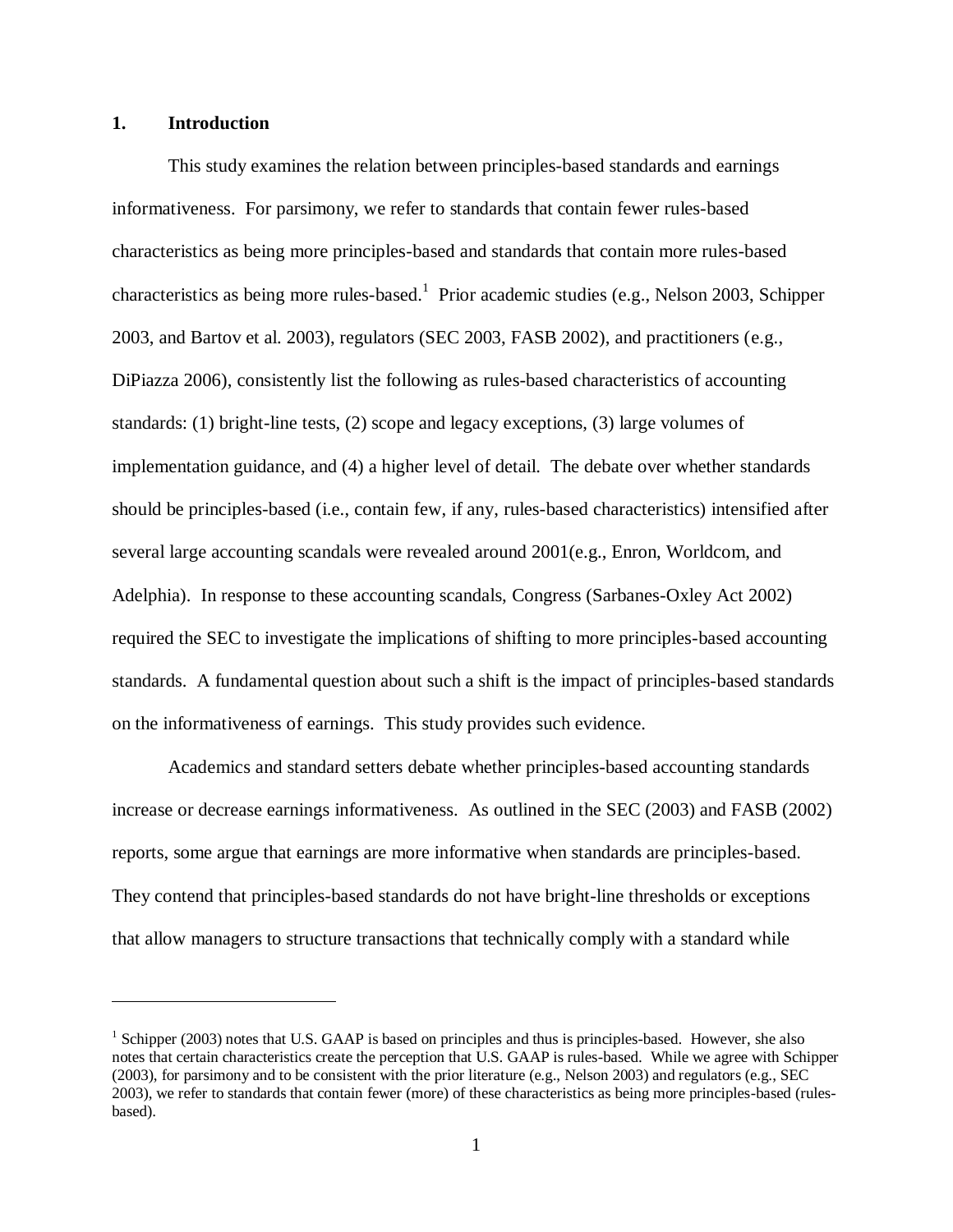### **1. Introduction**

 $\overline{\phantom{a}}$ 

This study examines the relation between principles-based standards and earnings informativeness. For parsimony, we refer to standards that contain fewer rules-based characteristics as being more principles-based and standards that contain more rules-based characteristics as being more rules-based.<sup>1</sup> Prior academic studies (e.g., Nelson 2003, Schipper 2003, and Bartov et al. 2003), regulators (SEC 2003, FASB 2002), and practitioners (e.g., DiPiazza 2006), consistently list the following as rules-based characteristics of accounting standards: (1) bright-line tests, (2) scope and legacy exceptions, (3) large volumes of implementation guidance, and (4) a higher level of detail. The debate over whether standards should be principles-based (i.e., contain few, if any, rules-based characteristics) intensified after several large accounting scandals were revealed around 2001(e.g., Enron, Worldcom, and Adelphia). In response to these accounting scandals, Congress (Sarbanes-Oxley Act 2002) required the SEC to investigate the implications of shifting to more principles-based accounting standards. A fundamental question about such a shift is the impact of principles-based standards on the informativeness of earnings. This study provides such evidence.

Academics and standard setters debate whether principles-based accounting standards increase or decrease earnings informativeness. As outlined in the SEC (2003) and FASB (2002) reports, some argue that earnings are more informative when standards are principles-based. They contend that principles-based standards do not have bright-line thresholds or exceptions that allow managers to structure transactions that technically comply with a standard while

<sup>&</sup>lt;sup>1</sup> Schipper (2003) notes that U.S. GAAP is based on principles and thus is principles-based. However, she also notes that certain characteristics create the perception that U.S. GAAP is rules-based. While we agree with Schipper (2003), for parsimony and to be consistent with the prior literature (e.g., Nelson 2003) and regulators (e.g., SEC 2003), we refer to standards that contain fewer (more) of these characteristics as being more principles-based (rulesbased).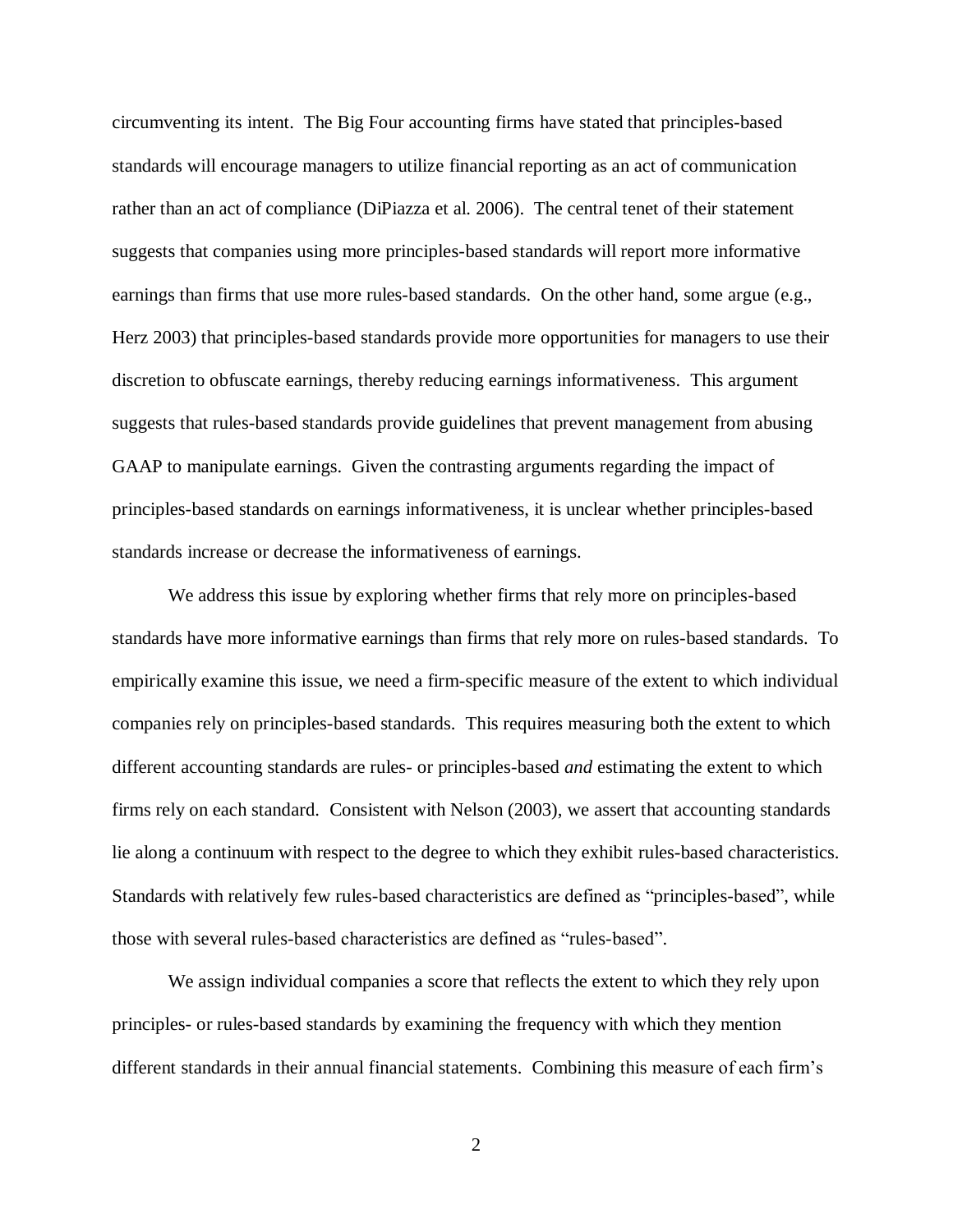circumventing its intent. The Big Four accounting firms have stated that principles-based standards will encourage managers to utilize financial reporting as an act of communication rather than an act of compliance (DiPiazza et al. 2006). The central tenet of their statement suggests that companies using more principles-based standards will report more informative earnings than firms that use more rules-based standards. On the other hand, some argue (e.g., Herz 2003) that principles-based standards provide more opportunities for managers to use their discretion to obfuscate earnings, thereby reducing earnings informativeness. This argument suggests that rules-based standards provide guidelines that prevent management from abusing GAAP to manipulate earnings. Given the contrasting arguments regarding the impact of principles-based standards on earnings informativeness, it is unclear whether principles-based standards increase or decrease the informativeness of earnings.

We address this issue by exploring whether firms that rely more on principles-based standards have more informative earnings than firms that rely more on rules-based standards. To empirically examine this issue, we need a firm-specific measure of the extent to which individual companies rely on principles-based standards. This requires measuring both the extent to which different accounting standards are rules- or principles-based *and* estimating the extent to which firms rely on each standard. Consistent with Nelson (2003), we assert that accounting standards lie along a continuum with respect to the degree to which they exhibit rules-based characteristics. Standards with relatively few rules-based characteristics are defined as "principles-based", while those with several rules-based characteristics are defined as "rules-based".

We assign individual companies a score that reflects the extent to which they rely upon principles- or rules-based standards by examining the frequency with which they mention different standards in their annual financial statements. Combining this measure of each firm's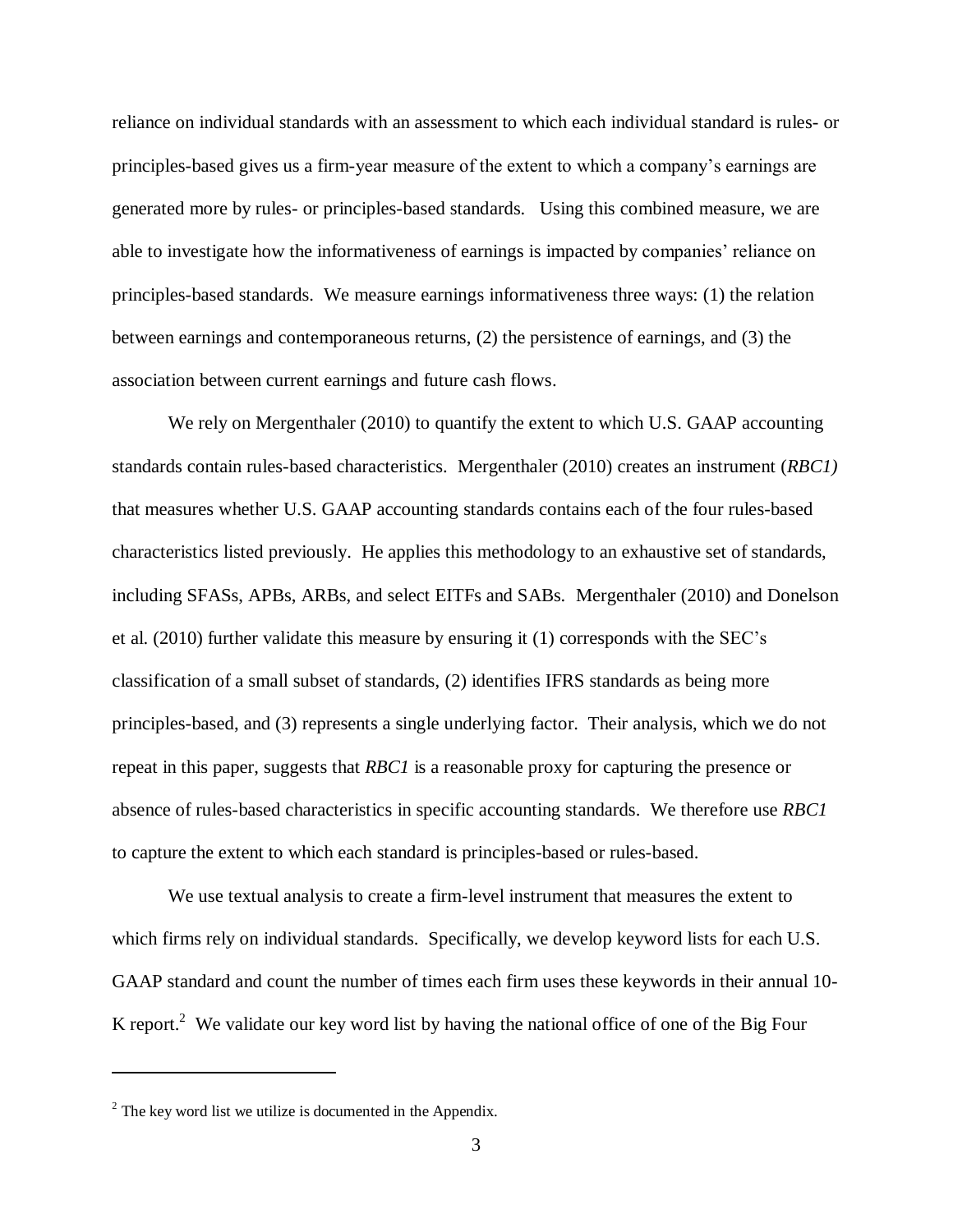reliance on individual standards with an assessment to which each individual standard is rules- or principles-based gives us a firm-year measure of the extent to which a company's earnings are generated more by rules- or principles-based standards. Using this combined measure, we are able to investigate how the informativeness of earnings is impacted by companies' reliance on principles-based standards. We measure earnings informativeness three ways: (1) the relation between earnings and contemporaneous returns, (2) the persistence of earnings, and (3) the association between current earnings and future cash flows.

We rely on Mergenthaler (2010) to quantify the extent to which U.S. GAAP accounting standards contain rules-based characteristics. Mergenthaler (2010) creates an instrument (*RBC1)* that measures whether U.S. GAAP accounting standards contains each of the four rules-based characteristics listed previously. He applies this methodology to an exhaustive set of standards, including SFASs, APBs, ARBs, and select EITFs and SABs. Mergenthaler (2010) and Donelson et al. (2010) further validate this measure by ensuring it (1) corresponds with the SEC's classification of a small subset of standards, (2) identifies IFRS standards as being more principles-based, and (3) represents a single underlying factor. Their analysis, which we do not repeat in this paper, suggests that *RBC1* is a reasonable proxy for capturing the presence or absence of rules-based characteristics in specific accounting standards. We therefore use *RBC1* to capture the extent to which each standard is principles-based or rules-based.

We use textual analysis to create a firm-level instrument that measures the extent to which firms rely on individual standards. Specifically, we develop keyword lists for each U.S. GAAP standard and count the number of times each firm uses these keywords in their annual 10- K report.<sup>2</sup> We validate our key word list by having the national office of one of the Big Four

 $\overline{\phantom{a}}$ 

 $2^2$  The key word list we utilize is documented in the Appendix.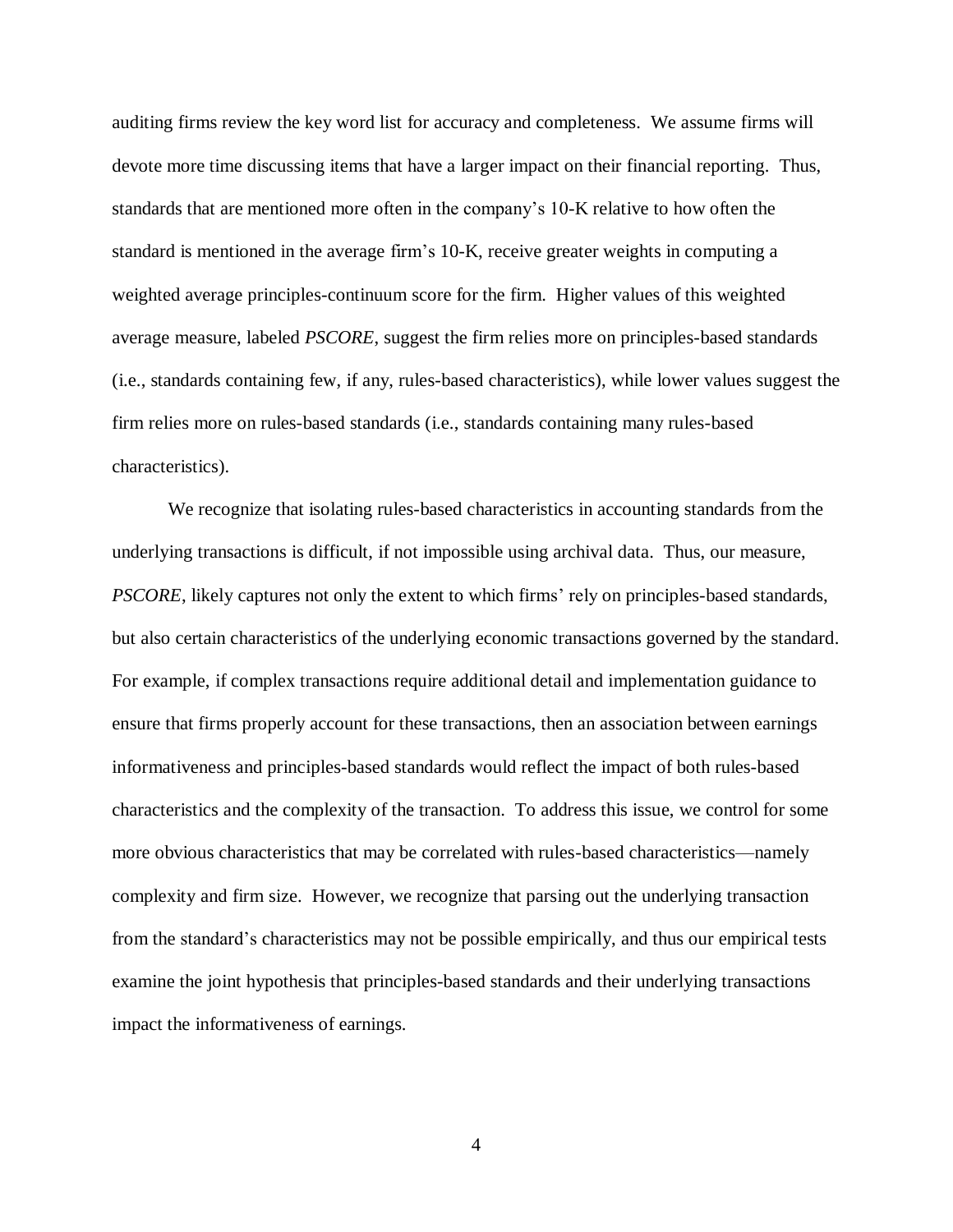auditing firms review the key word list for accuracy and completeness. We assume firms will devote more time discussing items that have a larger impact on their financial reporting. Thus, standards that are mentioned more often in the company's 10-K relative to how often the standard is mentioned in the average firm's 10-K, receive greater weights in computing a weighted average principles-continuum score for the firm. Higher values of this weighted average measure, labeled *PSCORE*, suggest the firm relies more on principles-based standards (i.e., standards containing few, if any, rules-based characteristics), while lower values suggest the firm relies more on rules-based standards (i.e., standards containing many rules-based characteristics).

We recognize that isolating rules-based characteristics in accounting standards from the underlying transactions is difficult, if not impossible using archival data. Thus, our measure, *PSCORE*, likely captures not only the extent to which firms' rely on principles-based standards, but also certain characteristics of the underlying economic transactions governed by the standard. For example, if complex transactions require additional detail and implementation guidance to ensure that firms properly account for these transactions, then an association between earnings informativeness and principles-based standards would reflect the impact of both rules-based characteristics and the complexity of the transaction. To address this issue, we control for some more obvious characteristics that may be correlated with rules-based characteristics—namely complexity and firm size. However, we recognize that parsing out the underlying transaction from the standard's characteristics may not be possible empirically, and thus our empirical tests examine the joint hypothesis that principles-based standards and their underlying transactions impact the informativeness of earnings.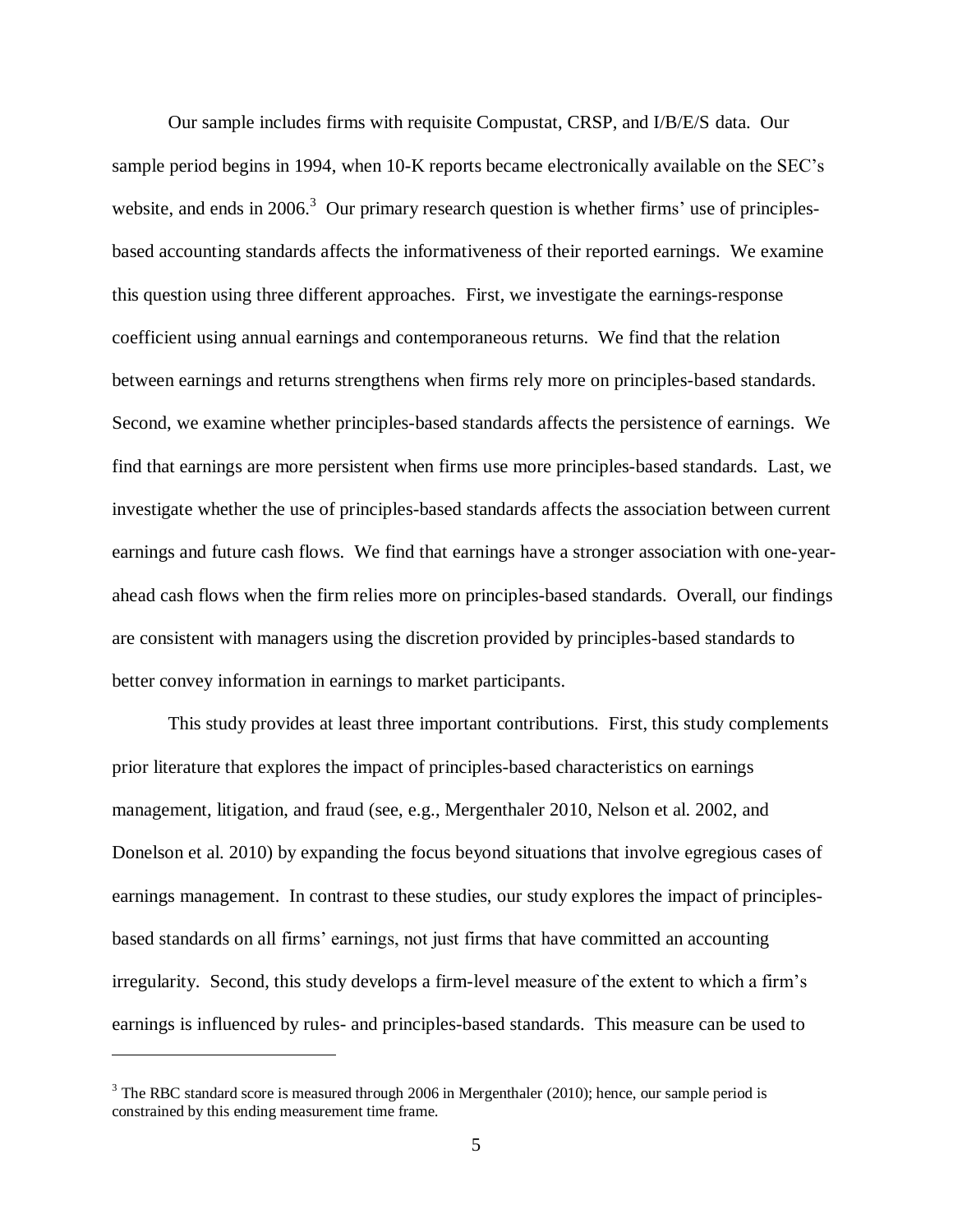Our sample includes firms with requisite Compustat, CRSP, and I/B/E/S data. Our sample period begins in 1994, when 10-K reports became electronically available on the SEC's website, and ends in  $2006$ <sup>3</sup> Our primary research question is whether firms' use of principlesbased accounting standards affects the informativeness of their reported earnings. We examine this question using three different approaches. First, we investigate the earnings-response coefficient using annual earnings and contemporaneous returns. We find that the relation between earnings and returns strengthens when firms rely more on principles-based standards. Second, we examine whether principles-based standards affects the persistence of earnings. We find that earnings are more persistent when firms use more principles-based standards. Last, we investigate whether the use of principles-based standards affects the association between current earnings and future cash flows. We find that earnings have a stronger association with one-yearahead cash flows when the firm relies more on principles-based standards. Overall, our findings are consistent with managers using the discretion provided by principles-based standards to better convey information in earnings to market participants.

This study provides at least three important contributions. First, this study complements prior literature that explores the impact of principles-based characteristics on earnings management, litigation, and fraud (see, e.g., Mergenthaler 2010, Nelson et al. 2002, and Donelson et al. 2010) by expanding the focus beyond situations that involve egregious cases of earnings management. In contrast to these studies, our study explores the impact of principlesbased standards on all firms' earnings, not just firms that have committed an accounting irregularity. Second, this study develops a firm-level measure of the extent to which a firm's earnings is influenced by rules- and principles-based standards. This measure can be used to

 $\overline{a}$ 

 $3$  The RBC standard score is measured through 2006 in Mergenthaler (2010); hence, our sample period is constrained by this ending measurement time frame.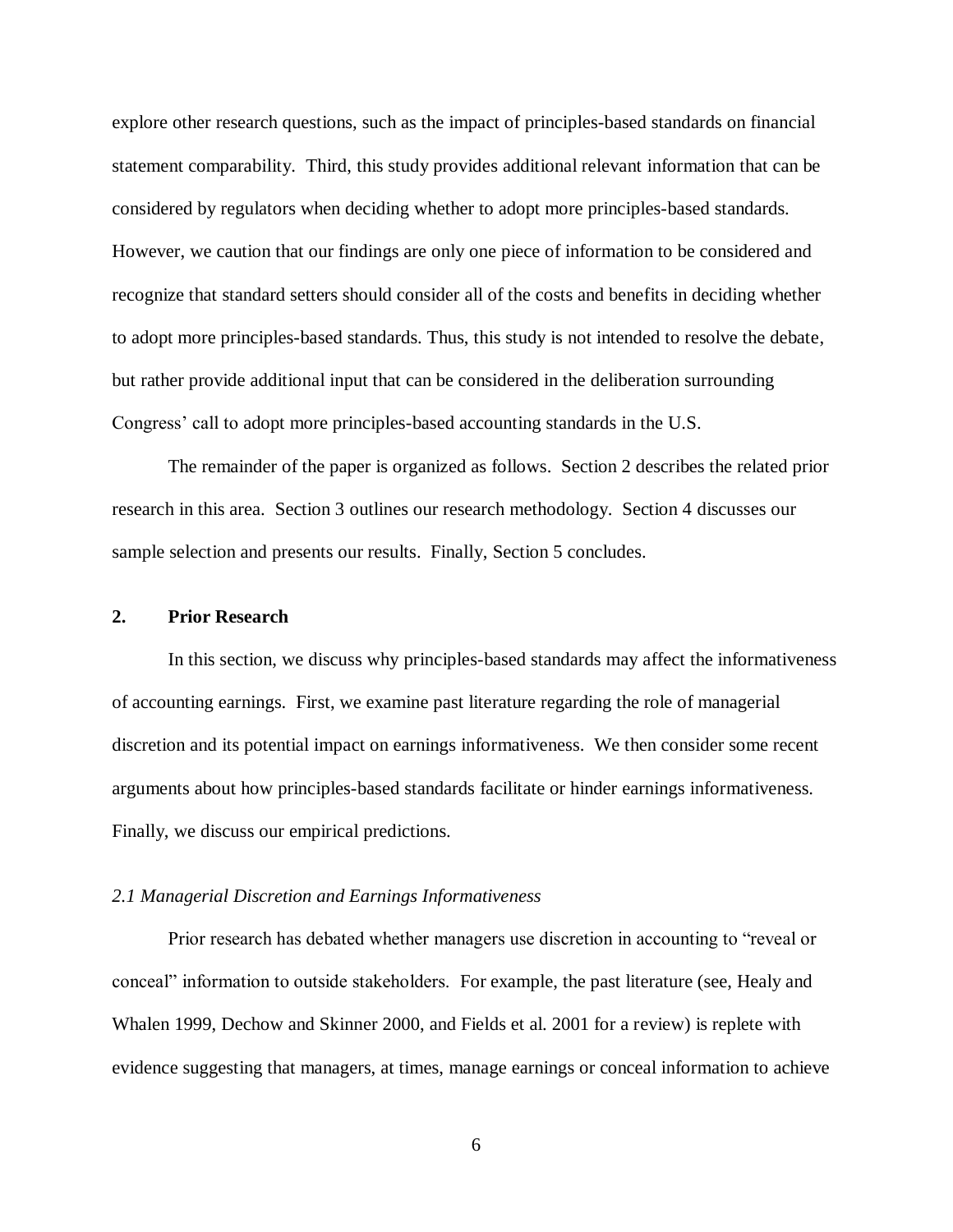explore other research questions, such as the impact of principles-based standards on financial statement comparability. Third, this study provides additional relevant information that can be considered by regulators when deciding whether to adopt more principles-based standards. However, we caution that our findings are only one piece of information to be considered and recognize that standard setters should consider all of the costs and benefits in deciding whether to adopt more principles-based standards. Thus, this study is not intended to resolve the debate, but rather provide additional input that can be considered in the deliberation surrounding Congress' call to adopt more principles-based accounting standards in the U.S.

The remainder of the paper is organized as follows. Section 2 describes the related prior research in this area. Section 3 outlines our research methodology. Section 4 discusses our sample selection and presents our results. Finally, Section 5 concludes.

### **2. Prior Research**

In this section, we discuss why principles-based standards may affect the informativeness of accounting earnings. First, we examine past literature regarding the role of managerial discretion and its potential impact on earnings informativeness. We then consider some recent arguments about how principles-based standards facilitate or hinder earnings informativeness. Finally, we discuss our empirical predictions.

#### *2.1 Managerial Discretion and Earnings Informativeness*

Prior research has debated whether managers use discretion in accounting to "reveal or conceal‖ information to outside stakeholders. For example, the past literature (see, Healy and Whalen 1999, Dechow and Skinner 2000, and Fields et al. 2001 for a review) is replete with evidence suggesting that managers, at times, manage earnings or conceal information to achieve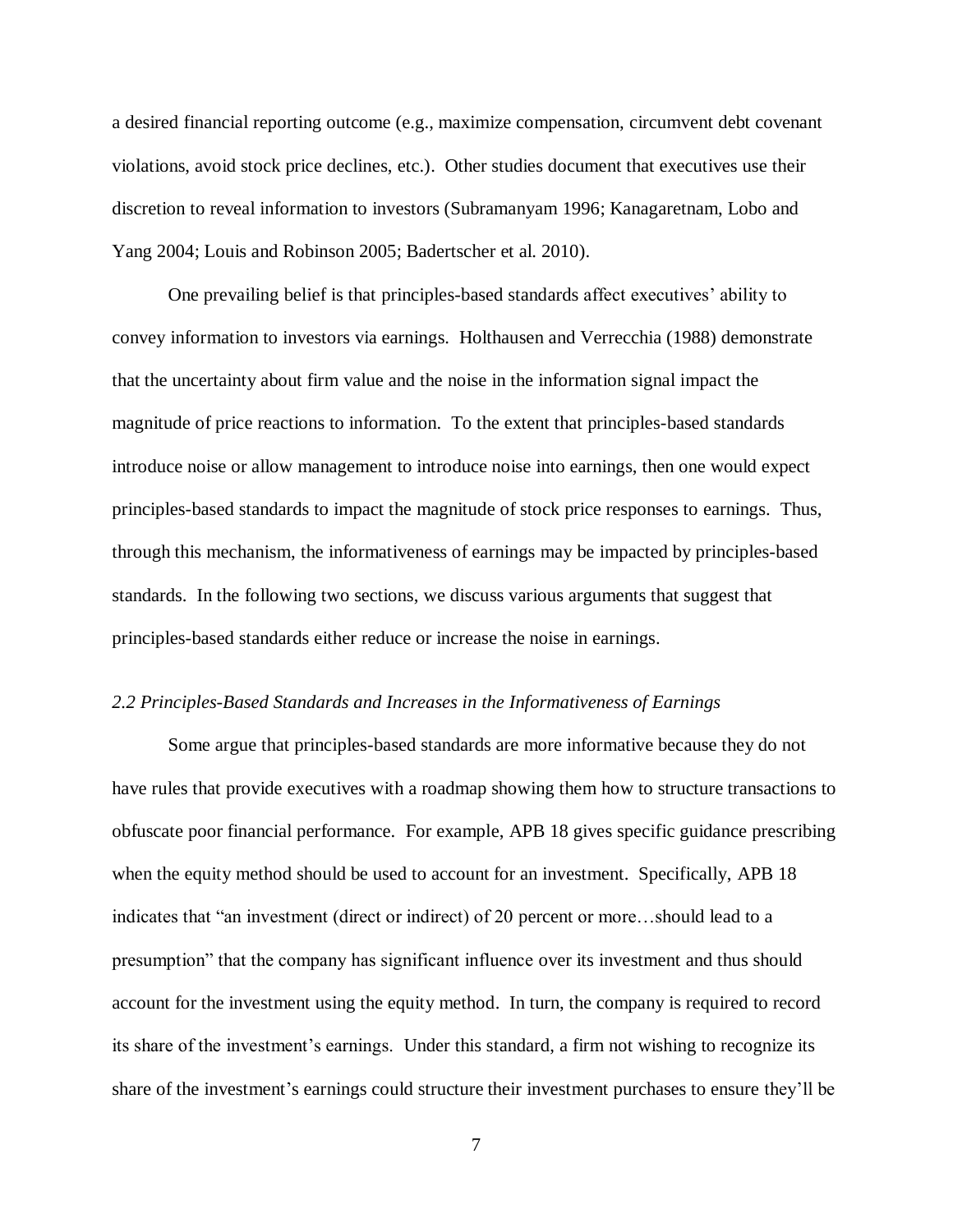a desired financial reporting outcome (e.g., maximize compensation, circumvent debt covenant violations, avoid stock price declines, etc.). Other studies document that executives use their discretion to reveal information to investors (Subramanyam 1996; Kanagaretnam, Lobo and Yang 2004; Louis and Robinson 2005; Badertscher et al. 2010).

One prevailing belief is that principles-based standards affect executives' ability to convey information to investors via earnings. Holthausen and Verrecchia (1988) demonstrate that the uncertainty about firm value and the noise in the information signal impact the magnitude of price reactions to information. To the extent that principles-based standards introduce noise or allow management to introduce noise into earnings, then one would expect principles-based standards to impact the magnitude of stock price responses to earnings. Thus, through this mechanism, the informativeness of earnings may be impacted by principles-based standards. In the following two sections, we discuss various arguments that suggest that principles-based standards either reduce or increase the noise in earnings.

#### *2.2 Principles-Based Standards and Increases in the Informativeness of Earnings*

Some argue that principles-based standards are more informative because they do not have rules that provide executives with a roadmap showing them how to structure transactions to obfuscate poor financial performance. For example, APB 18 gives specific guidance prescribing when the equity method should be used to account for an investment. Specifically, APB 18 indicates that "an investment (direct or indirect) of 20 percent or more...should lead to a presumption‖ that the company has significant influence over its investment and thus should account for the investment using the equity method. In turn, the company is required to record its share of the investment's earnings. Under this standard, a firm not wishing to recognize its share of the investment's earnings could structure their investment purchases to ensure they'll be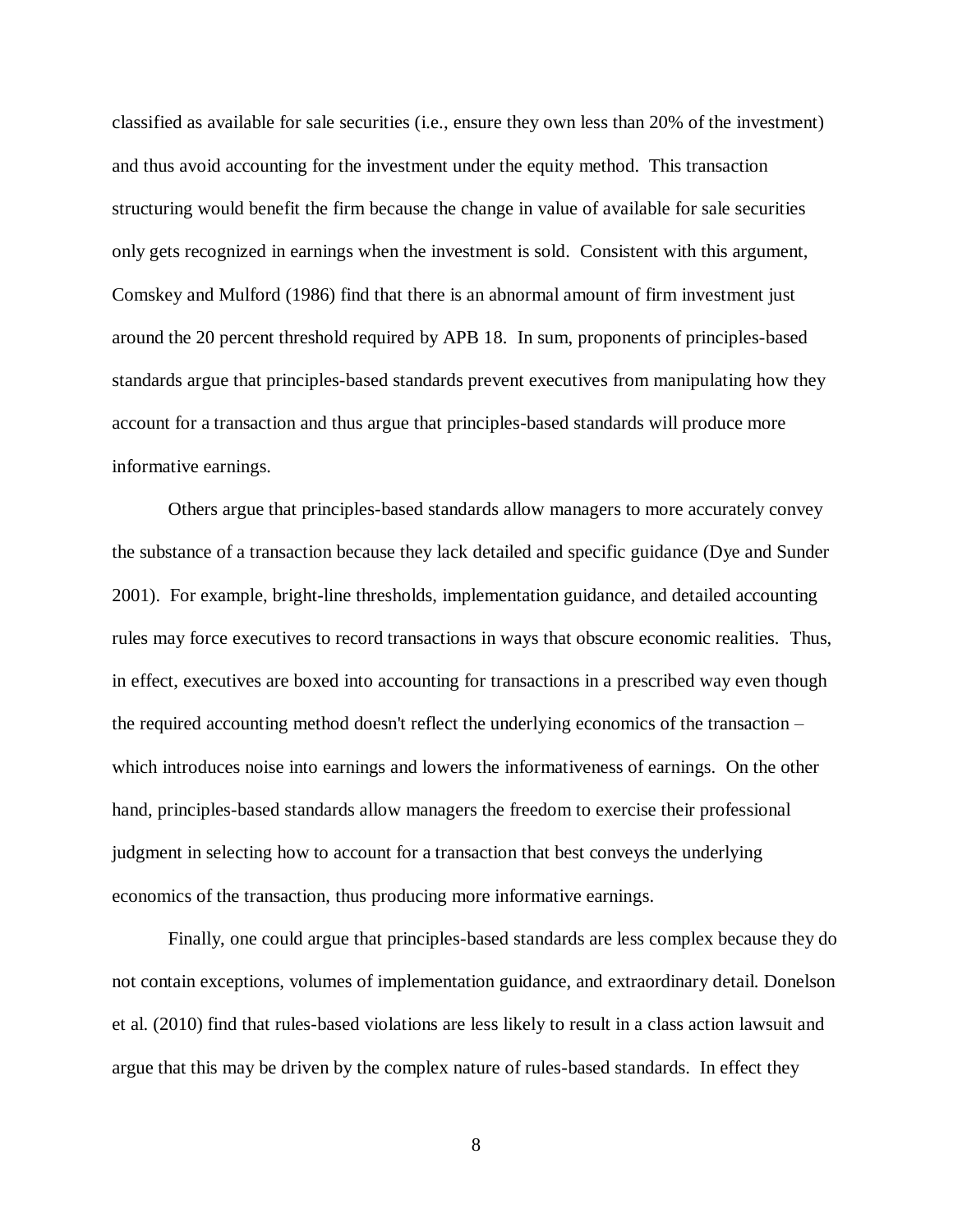classified as available for sale securities (i.e., ensure they own less than 20% of the investment) and thus avoid accounting for the investment under the equity method. This transaction structuring would benefit the firm because the change in value of available for sale securities only gets recognized in earnings when the investment is sold. Consistent with this argument, Comskey and Mulford (1986) find that there is an abnormal amount of firm investment just around the 20 percent threshold required by APB 18. In sum, proponents of principles-based standards argue that principles-based standards prevent executives from manipulating how they account for a transaction and thus argue that principles-based standards will produce more informative earnings.

Others argue that principles-based standards allow managers to more accurately convey the substance of a transaction because they lack detailed and specific guidance (Dye and Sunder 2001). For example, bright-line thresholds, implementation guidance, and detailed accounting rules may force executives to record transactions in ways that obscure economic realities. Thus, in effect, executives are boxed into accounting for transactions in a prescribed way even though the required accounting method doesn't reflect the underlying economics of the transaction – which introduces noise into earnings and lowers the informativeness of earnings. On the other hand, principles-based standards allow managers the freedom to exercise their professional judgment in selecting how to account for a transaction that best conveys the underlying economics of the transaction, thus producing more informative earnings.

Finally, one could argue that principles-based standards are less complex because they do not contain exceptions, volumes of implementation guidance, and extraordinary detail. Donelson et al. (2010) find that rules-based violations are less likely to result in a class action lawsuit and argue that this may be driven by the complex nature of rules-based standards. In effect they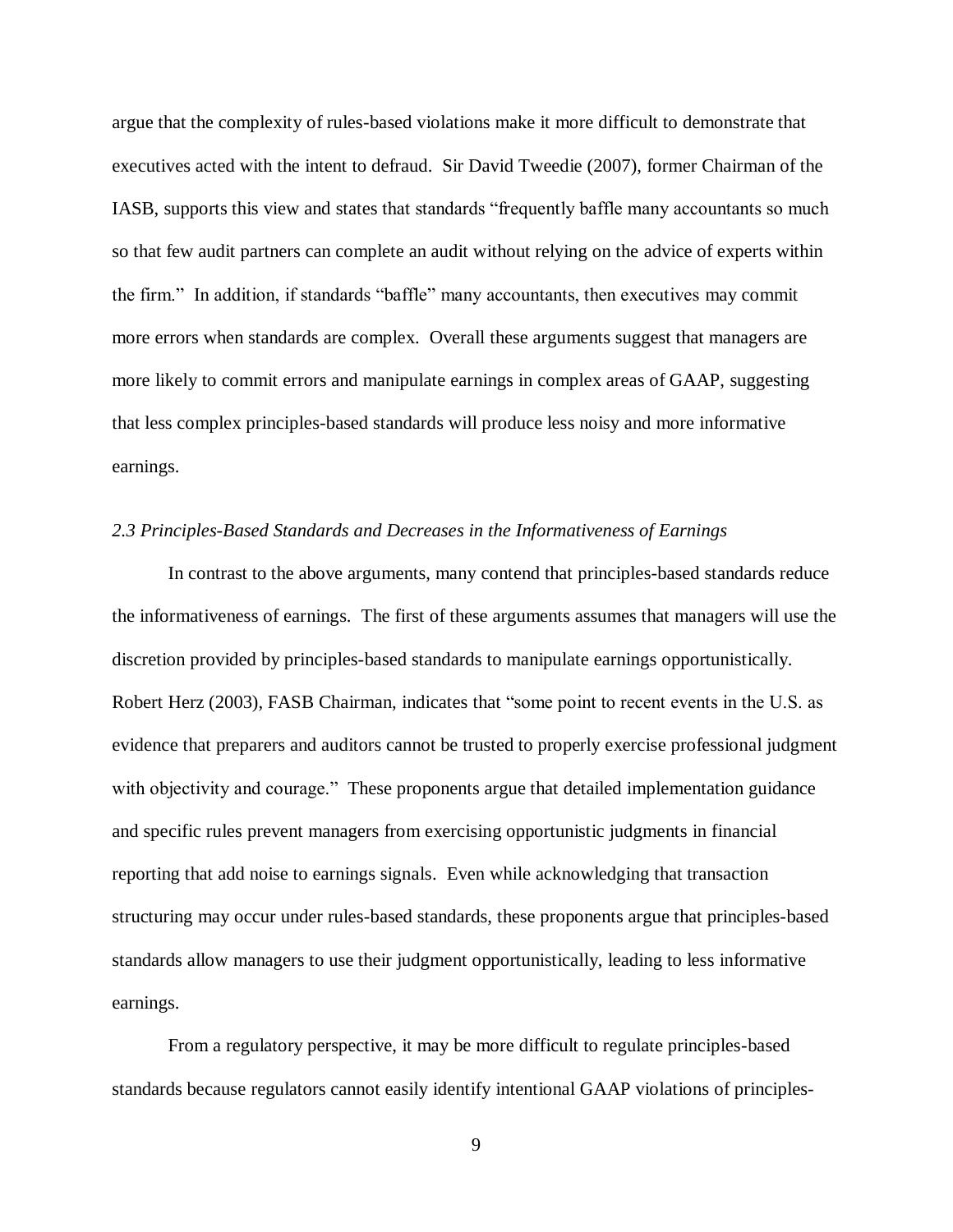argue that the complexity of rules-based violations make it more difficult to demonstrate that executives acted with the intent to defraud. Sir David Tweedie (2007), former Chairman of the IASB, supports this view and states that standards "frequently baffle many accountants so much so that few audit partners can complete an audit without relying on the advice of experts within the firm." In addition, if standards "baffle" many accountants, then executives may commit more errors when standards are complex. Overall these arguments suggest that managers are more likely to commit errors and manipulate earnings in complex areas of GAAP, suggesting that less complex principles-based standards will produce less noisy and more informative earnings.

#### *2.3 Principles-Based Standards and Decreases in the Informativeness of Earnings*

In contrast to the above arguments, many contend that principles-based standards reduce the informativeness of earnings. The first of these arguments assumes that managers will use the discretion provided by principles-based standards to manipulate earnings opportunistically. Robert Herz (2003), FASB Chairman, indicates that "some point to recent events in the U.S. as evidence that preparers and auditors cannot be trusted to properly exercise professional judgment with objectivity and courage." These proponents argue that detailed implementation guidance and specific rules prevent managers from exercising opportunistic judgments in financial reporting that add noise to earnings signals. Even while acknowledging that transaction structuring may occur under rules-based standards, these proponents argue that principles-based standards allow managers to use their judgment opportunistically, leading to less informative earnings.

From a regulatory perspective, it may be more difficult to regulate principles-based standards because regulators cannot easily identify intentional GAAP violations of principles-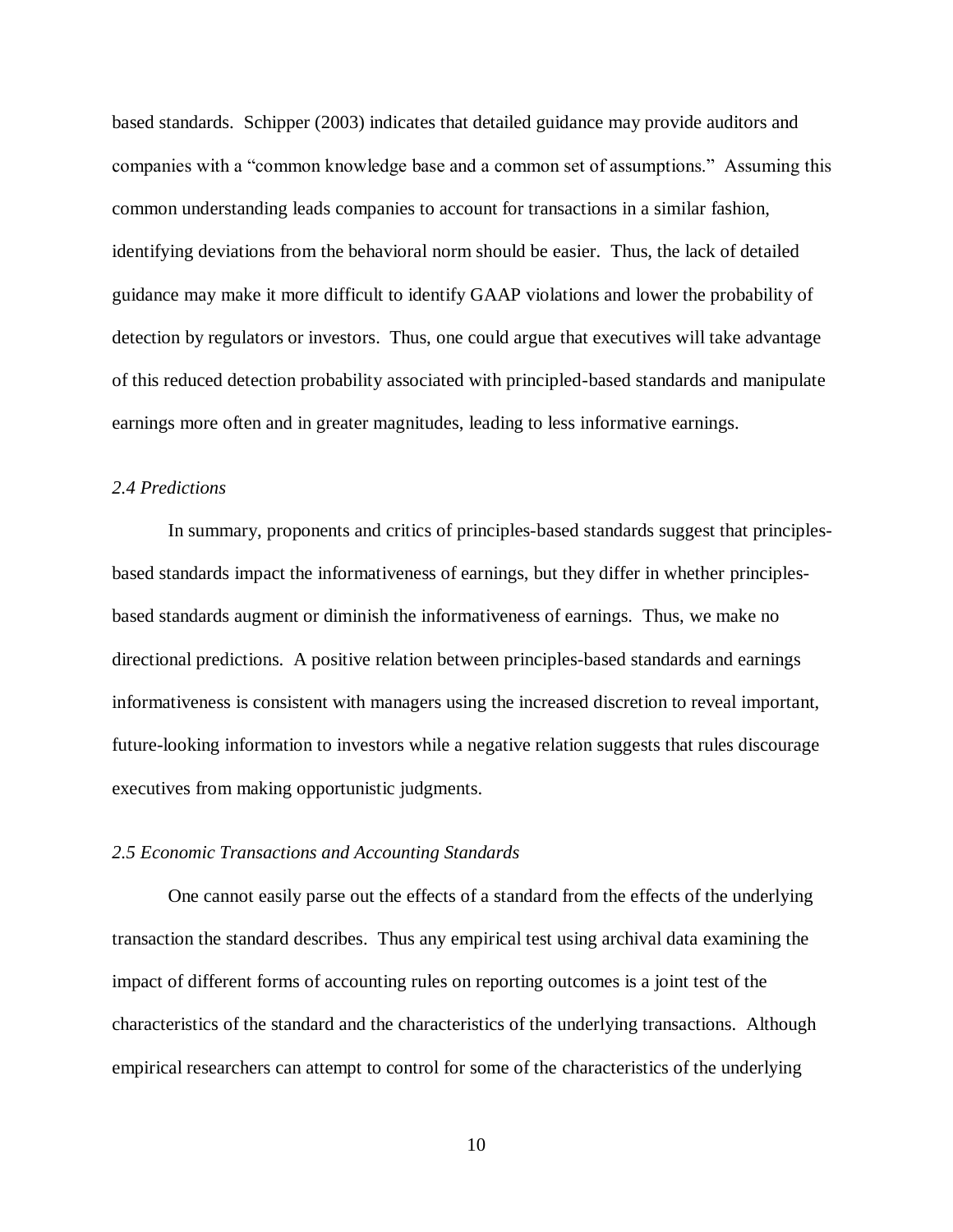based standards. Schipper (2003) indicates that detailed guidance may provide auditors and companies with a "common knowledge base and a common set of assumptions." Assuming this common understanding leads companies to account for transactions in a similar fashion, identifying deviations from the behavioral norm should be easier. Thus, the lack of detailed guidance may make it more difficult to identify GAAP violations and lower the probability of detection by regulators or investors. Thus, one could argue that executives will take advantage of this reduced detection probability associated with principled-based standards and manipulate earnings more often and in greater magnitudes, leading to less informative earnings.

## *2.4 Predictions*

In summary, proponents and critics of principles-based standards suggest that principlesbased standards impact the informativeness of earnings, but they differ in whether principlesbased standards augment or diminish the informativeness of earnings. Thus, we make no directional predictions. A positive relation between principles-based standards and earnings informativeness is consistent with managers using the increased discretion to reveal important, future-looking information to investors while a negative relation suggests that rules discourage executives from making opportunistic judgments.

#### *2.5 Economic Transactions and Accounting Standards*

One cannot easily parse out the effects of a standard from the effects of the underlying transaction the standard describes. Thus any empirical test using archival data examining the impact of different forms of accounting rules on reporting outcomes is a joint test of the characteristics of the standard and the characteristics of the underlying transactions. Although empirical researchers can attempt to control for some of the characteristics of the underlying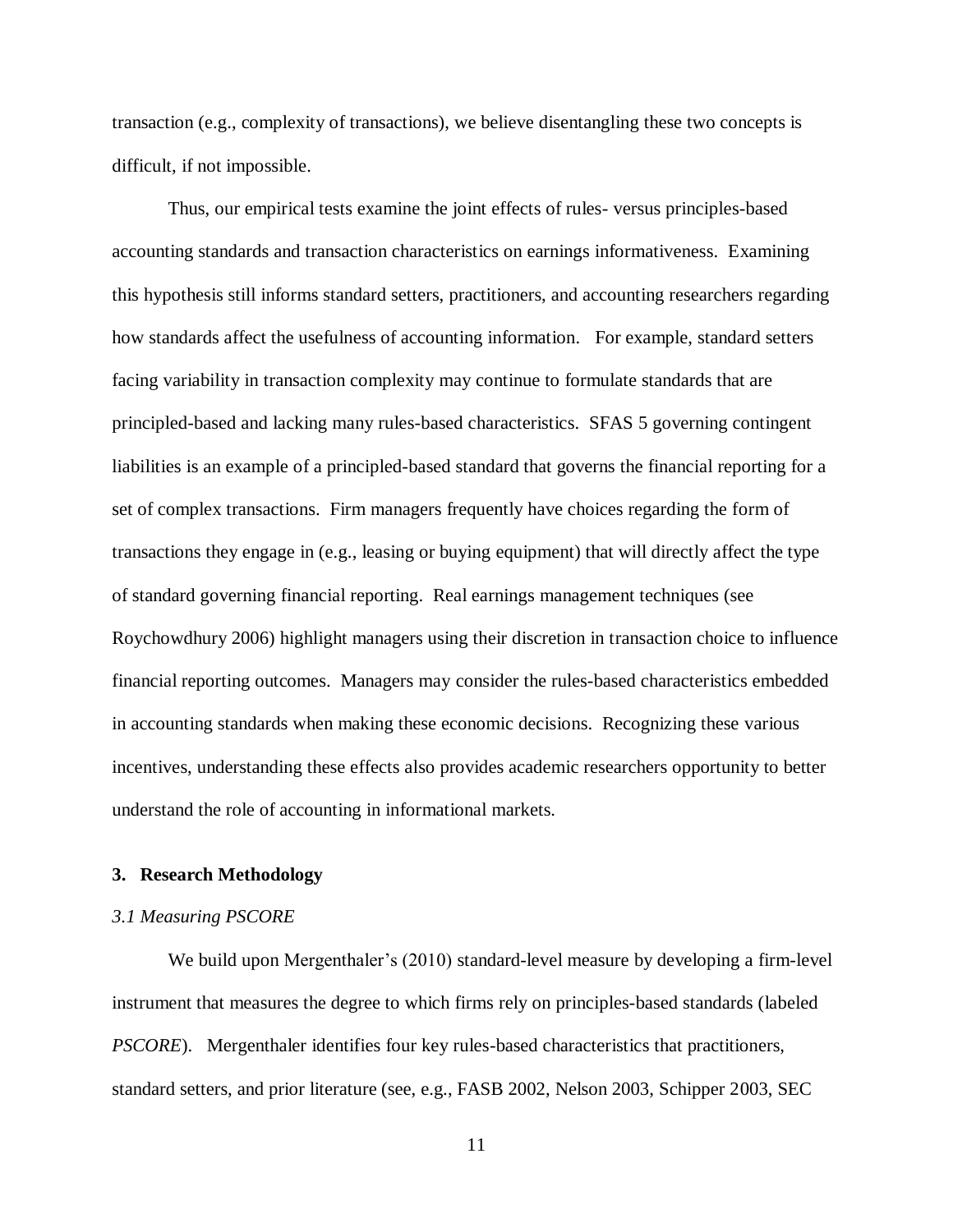transaction (e.g., complexity of transactions), we believe disentangling these two concepts is difficult, if not impossible.

Thus, our empirical tests examine the joint effects of rules- versus principles-based accounting standards and transaction characteristics on earnings informativeness. Examining this hypothesis still informs standard setters, practitioners, and accounting researchers regarding how standards affect the usefulness of accounting information. For example, standard setters facing variability in transaction complexity may continue to formulate standards that are principled-based and lacking many rules-based characteristics. SFAS 5 governing contingent liabilities is an example of a principled-based standard that governs the financial reporting for a set of complex transactions. Firm managers frequently have choices regarding the form of transactions they engage in (e.g., leasing or buying equipment) that will directly affect the type of standard governing financial reporting. Real earnings management techniques (see Roychowdhury 2006) highlight managers using their discretion in transaction choice to influence financial reporting outcomes. Managers may consider the rules-based characteristics embedded in accounting standards when making these economic decisions. Recognizing these various incentives, understanding these effects also provides academic researchers opportunity to better understand the role of accounting in informational markets.

#### **3. Research Methodology**

#### *3.1 Measuring PSCORE*

We build upon Mergenthaler's (2010) standard-level measure by developing a firm-level instrument that measures the degree to which firms rely on principles-based standards (labeled *PSCORE*). Mergenthaler identifies four key rules-based characteristics that practitioners, standard setters, and prior literature (see, e.g., FASB 2002, Nelson 2003, Schipper 2003, SEC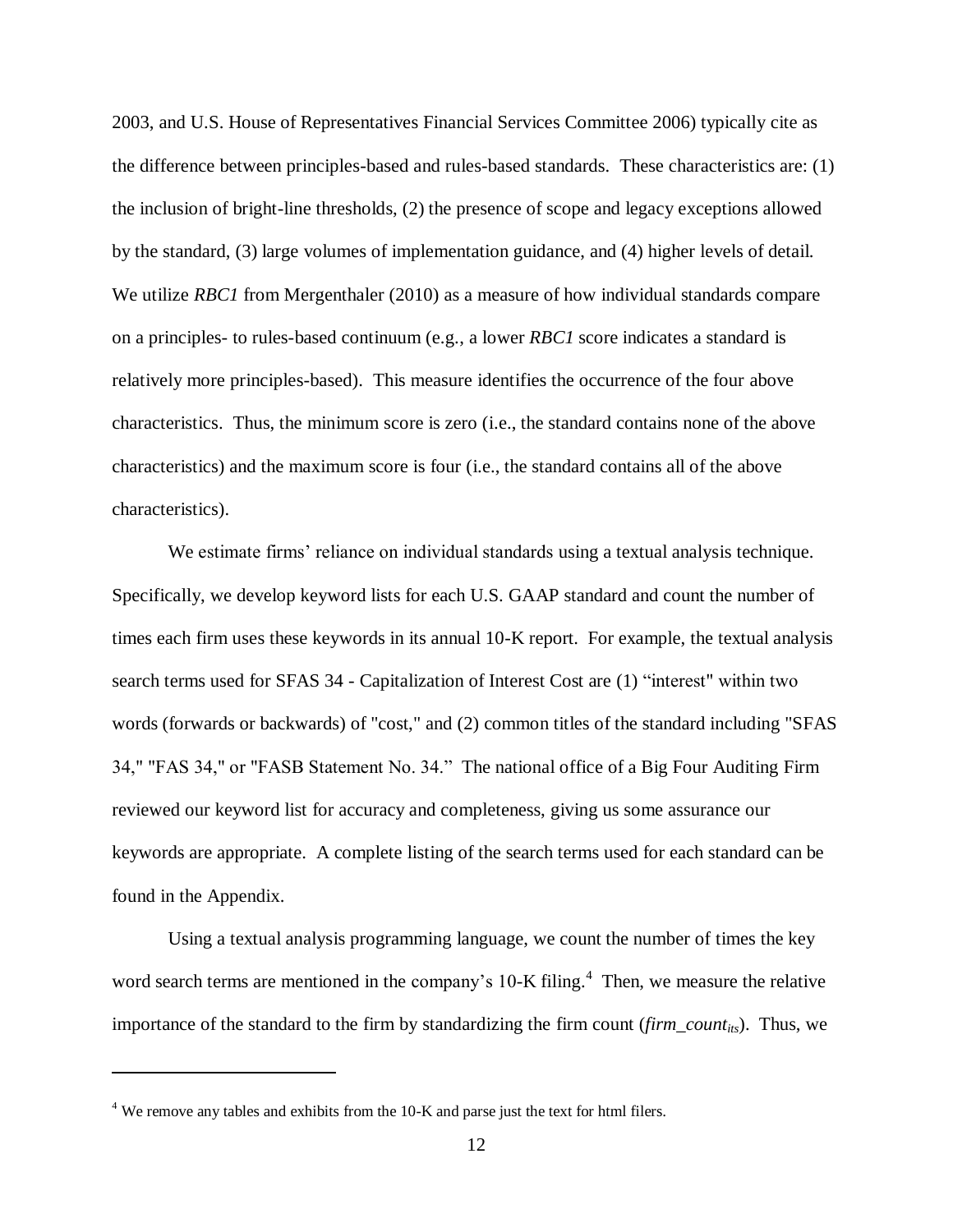2003, and U.S. House of Representatives Financial Services Committee 2006) typically cite as the difference between principles-based and rules-based standards. These characteristics are: (1) the inclusion of bright-line thresholds, (2) the presence of scope and legacy exceptions allowed by the standard, (3) large volumes of implementation guidance, and (4) higher levels of detail. We utilize *RBC1* from Mergenthaler (2010) as a measure of how individual standards compare on a principles- to rules-based continuum (e.g., a lower *RBC1* score indicates a standard is relatively more principles-based). This measure identifies the occurrence of the four above characteristics. Thus, the minimum score is zero (i.e., the standard contains none of the above characteristics) and the maximum score is four (i.e., the standard contains all of the above characteristics).

We estimate firms' reliance on individual standards using a textual analysis technique. Specifically, we develop keyword lists for each U.S. GAAP standard and count the number of times each firm uses these keywords in its annual 10-K report. For example, the textual analysis search terms used for SFAS 34 - Capitalization of Interest Cost are (1) "interest" within two words (forwards or backwards) of "cost," and (2) common titles of the standard including "SFAS 34," "FAS 34," or "FASB Statement No. 34." The national office of a Big Four Auditing Firm reviewed our keyword list for accuracy and completeness, giving us some assurance our keywords are appropriate. A complete listing of the search terms used for each standard can be found in the Appendix.

Using a textual analysis programming language, we count the number of times the key word search terms are mentioned in the company's  $10$ -K filing.<sup>4</sup> Then, we measure the relative importance of the standard to the firm by standardizing the firm count (*firm\_countits*). Thus, we

 $\overline{\phantom{a}}$ 

 $4$  We remove any tables and exhibits from the 10-K and parse just the text for html filers.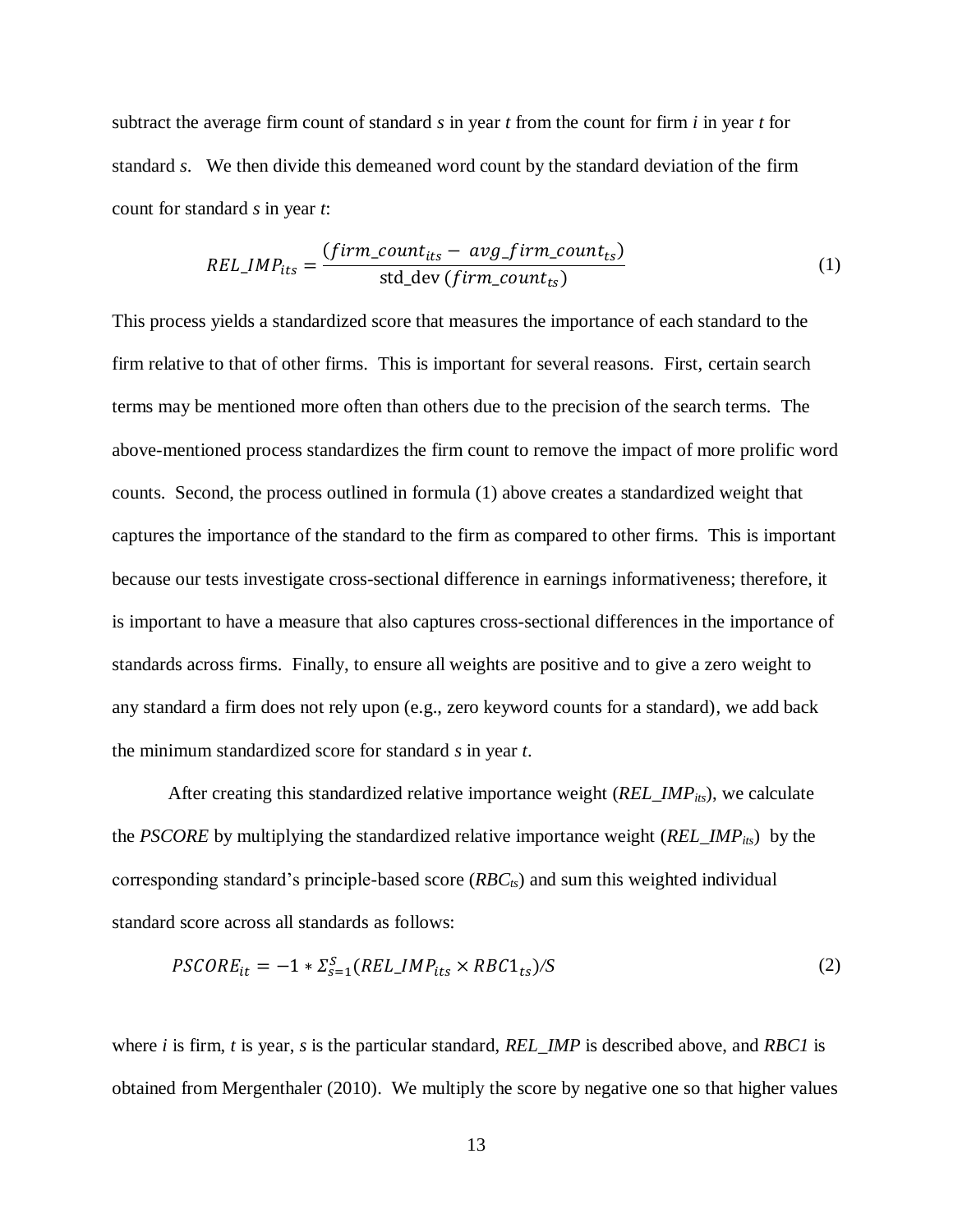subtract the average firm count of standard *s* in year *t* from the count for firm *i* in year *t* for standard *s*. We then divide this demeaned word count by the standard deviation of the firm count for standard *s* in year *t*:

$$
REL\_IMP_{its} = \frac{(firm\_count_{its} - avg\_firm\_count_{ts})}{std\_dev\ (firm\_count_{ts})}
$$
(1)

This process yields a standardized score that measures the importance of each standard to the firm relative to that of other firms. This is important for several reasons. First, certain search terms may be mentioned more often than others due to the precision of the search terms. The above-mentioned process standardizes the firm count to remove the impact of more prolific word counts. Second, the process outlined in formula (1) above creates a standardized weight that captures the importance of the standard to the firm as compared to other firms. This is important because our tests investigate cross-sectional difference in earnings informativeness; therefore, it is important to have a measure that also captures cross-sectional differences in the importance of standards across firms. Finally, to ensure all weights are positive and to give a zero weight to any standard a firm does not rely upon (e.g., zero keyword counts for a standard), we add back the minimum standardized score for standard *s* in year *t*.

After creating this standardized relative importance weight (*REL\_IMPits*), we calculate the *PSCORE* by multiplying the standardized relative importance weight (*REL\_IMPits*) by the corresponding standard's principle-based score (*RBCts*) and sum this weighted individual standard score across all standards as follows:

$$
PSCORE_{it} = -1 * \Sigma_{s=1}^{S} (REL\_IMP_{its} \times RBC1_{ts})/S
$$
 (2)

where *i* is firm, *t* is year, *s* is the particular standard, *REL\_IMP* is described above, and *RBC1* is obtained from Mergenthaler (2010). We multiply the score by negative one so that higher values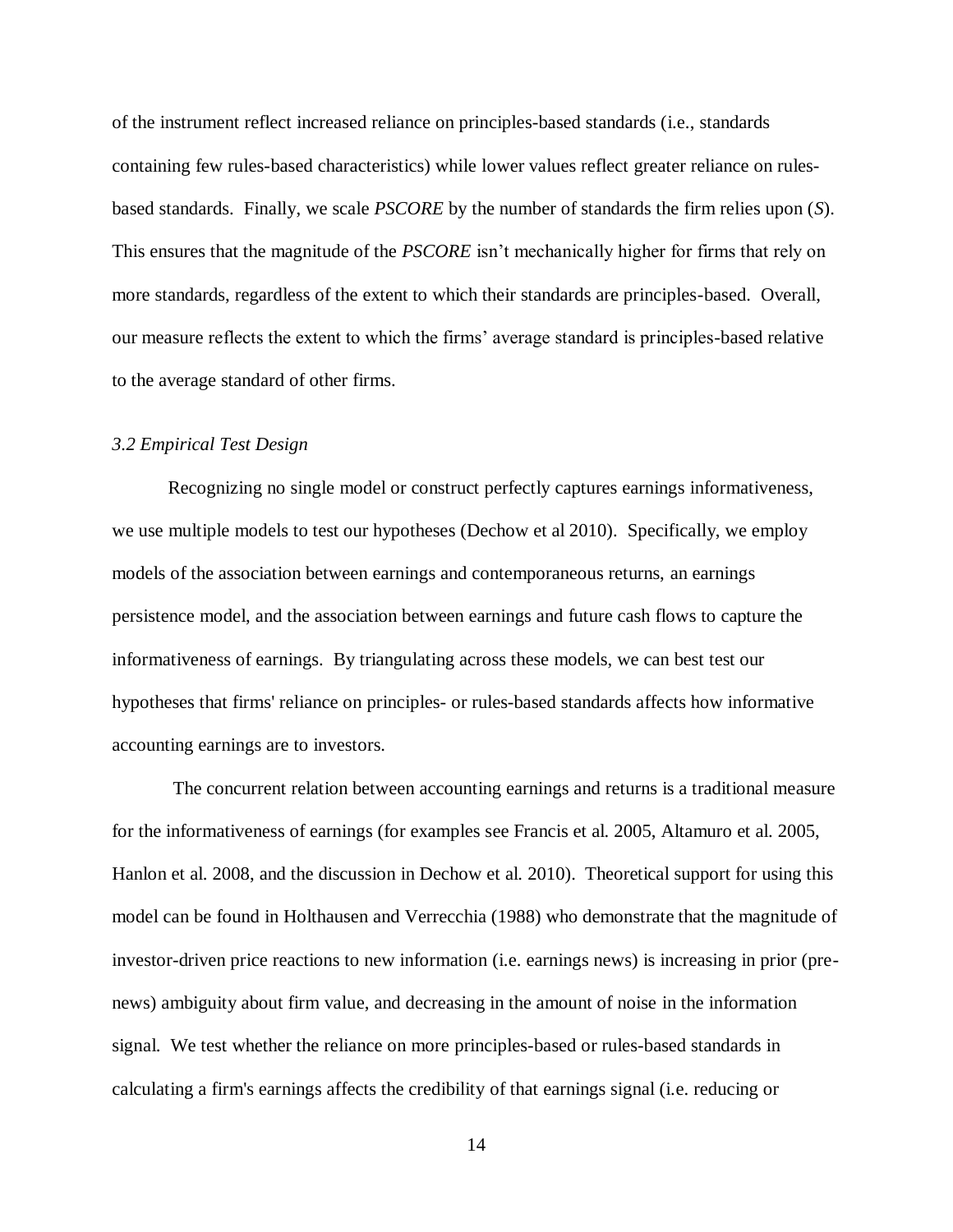of the instrument reflect increased reliance on principles-based standards (i.e., standards containing few rules-based characteristics) while lower values reflect greater reliance on rulesbased standards. Finally, we scale *PSCORE* by the number of standards the firm relies upon (*S*). This ensures that the magnitude of the *PSCORE* isn't mechanically higher for firms that rely on more standards, regardless of the extent to which their standards are principles-based. Overall, our measure reflects the extent to which the firms' average standard is principles-based relative to the average standard of other firms.

#### *3.2 Empirical Test Design*

Recognizing no single model or construct perfectly captures earnings informativeness, we use multiple models to test our hypotheses (Dechow et al 2010). Specifically, we employ models of the association between earnings and contemporaneous returns, an earnings persistence model, and the association between earnings and future cash flows to capture the informativeness of earnings. By triangulating across these models, we can best test our hypotheses that firms' reliance on principles- or rules-based standards affects how informative accounting earnings are to investors.

The concurrent relation between accounting earnings and returns is a traditional measure for the informativeness of earnings (for examples see Francis et al. 2005, Altamuro et al. 2005, Hanlon et al. 2008, and the discussion in Dechow et al. 2010). Theoretical support for using this model can be found in Holthausen and Verrecchia (1988) who demonstrate that the magnitude of investor-driven price reactions to new information (i.e. earnings news) is increasing in prior (prenews) ambiguity about firm value, and decreasing in the amount of noise in the information signal. We test whether the reliance on more principles-based or rules-based standards in calculating a firm's earnings affects the credibility of that earnings signal (i.e. reducing or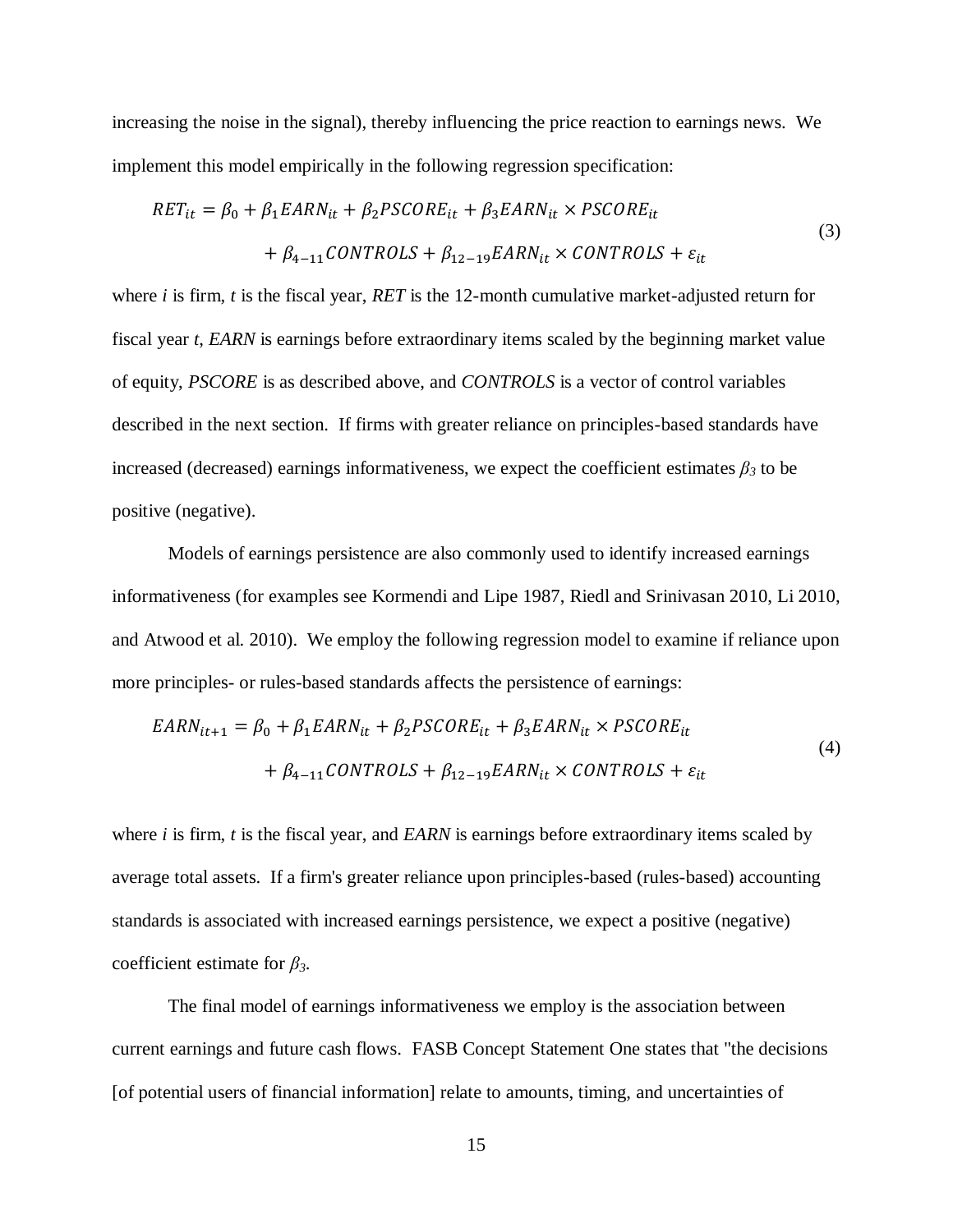increasing the noise in the signal), thereby influencing the price reaction to earnings news. We implement this model empirically in the following regression specification:

$$
RET_{it} = \beta_0 + \beta_1 EARN_{it} + \beta_2 PSCORE_{it} + \beta_3 EARN_{it} \times PSCORE_{it}
$$
  
+  $\beta_{4-11} CONTROLS + \beta_{12-19} EARN_{it} \times CONTROLS + \varepsilon_{it}$  (3)

where *i* is firm, *t* is the fiscal year, *RET* is the 12-month cumulative market-adjusted return for fiscal year *t*, *EARN* is earnings before extraordinary items scaled by the beginning market value of equity, *PSCORE* is as described above, and *CONTROLS* is a vector of control variables described in the next section. If firms with greater reliance on principles-based standards have increased (decreased) earnings informativeness, we expect the coefficient estimates  $\beta_3$  to be positive (negative).

Models of earnings persistence are also commonly used to identify increased earnings informativeness (for examples see Kormendi and Lipe 1987, Riedl and Srinivasan 2010, Li 2010, and Atwood et al. 2010). We employ the following regression model to examine if reliance upon more principles- or rules-based standards affects the persistence of earnings:

$$
EARN_{it+1} = \beta_0 + \beta_1 EARN_{it} + \beta_2 PSCORE_{it} + \beta_3 EARN_{it} \times PSCORE_{it}
$$
  
+  $\beta_{4-11} CONTROLS + \beta_{12-19} EARN_{it} \times CONTROLS + \varepsilon_{it}$  (4)

where *i* is firm, *t* is the fiscal year, and *EARN* is earnings before extraordinary items scaled by average total assets. If a firm's greater reliance upon principles-based (rules-based) accounting standards is associated with increased earnings persistence, we expect a positive (negative) coefficient estimate for *β3*.

The final model of earnings informativeness we employ is the association between current earnings and future cash flows. FASB Concept Statement One states that "the decisions [of potential users of financial information] relate to amounts, timing, and uncertainties of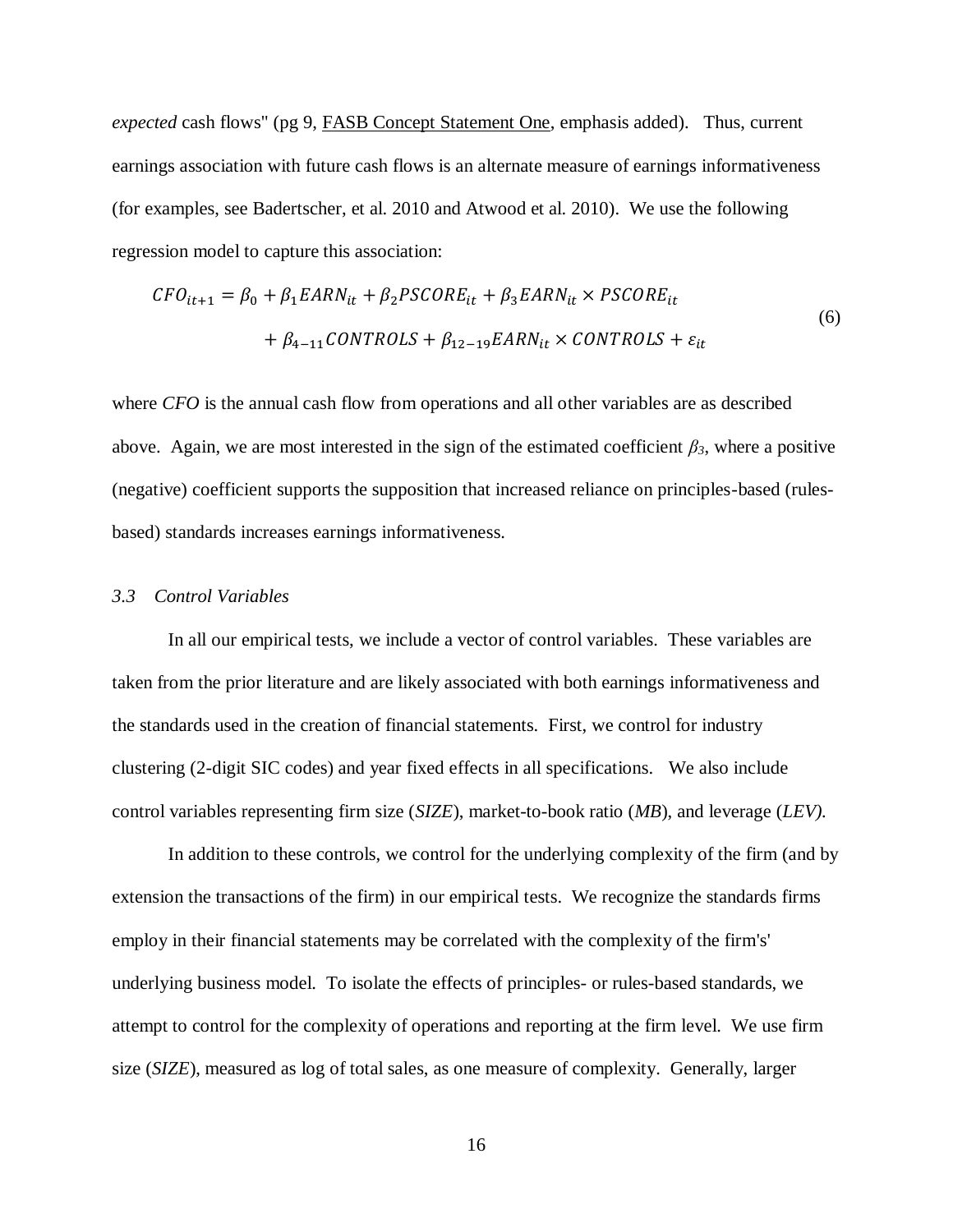*expected* cash flows" (pg 9, FASB Concept Statement One, emphasis added). Thus, current earnings association with future cash flows is an alternate measure of earnings informativeness (for examples, see Badertscher, et al. 2010 and Atwood et al. 2010). We use the following regression model to capture this association:

$$
CFO_{it+1} = \beta_0 + \beta_1 EARN_{it} + \beta_2 PSCORE_{it} + \beta_3 EARN_{it} \times PSCORE_{it}
$$
  
+  $\beta_{4-11} CONTROLS + \beta_{12-19} EARN_{it} \times CONTROLS + \varepsilon_{it}$  (6)

where *CFO* is the annual cash flow from operations and all other variables are as described above. Again, we are most interested in the sign of the estimated coefficient  $\beta_3$ , where a positive (negative) coefficient supports the supposition that increased reliance on principles-based (rulesbased) standards increases earnings informativeness.

#### *3.3 Control Variables*

In all our empirical tests, we include a vector of control variables. These variables are taken from the prior literature and are likely associated with both earnings informativeness and the standards used in the creation of financial statements. First, we control for industry clustering (2-digit SIC codes) and year fixed effects in all specifications. We also include control variables representing firm size (*SIZE*), market-to-book ratio (*MB*), and leverage (*LEV).* 

In addition to these controls, we control for the underlying complexity of the firm (and by extension the transactions of the firm) in our empirical tests. We recognize the standards firms employ in their financial statements may be correlated with the complexity of the firm's' underlying business model. To isolate the effects of principles- or rules-based standards, we attempt to control for the complexity of operations and reporting at the firm level. We use firm size (*SIZE*), measured as log of total sales, as one measure of complexity. Generally, larger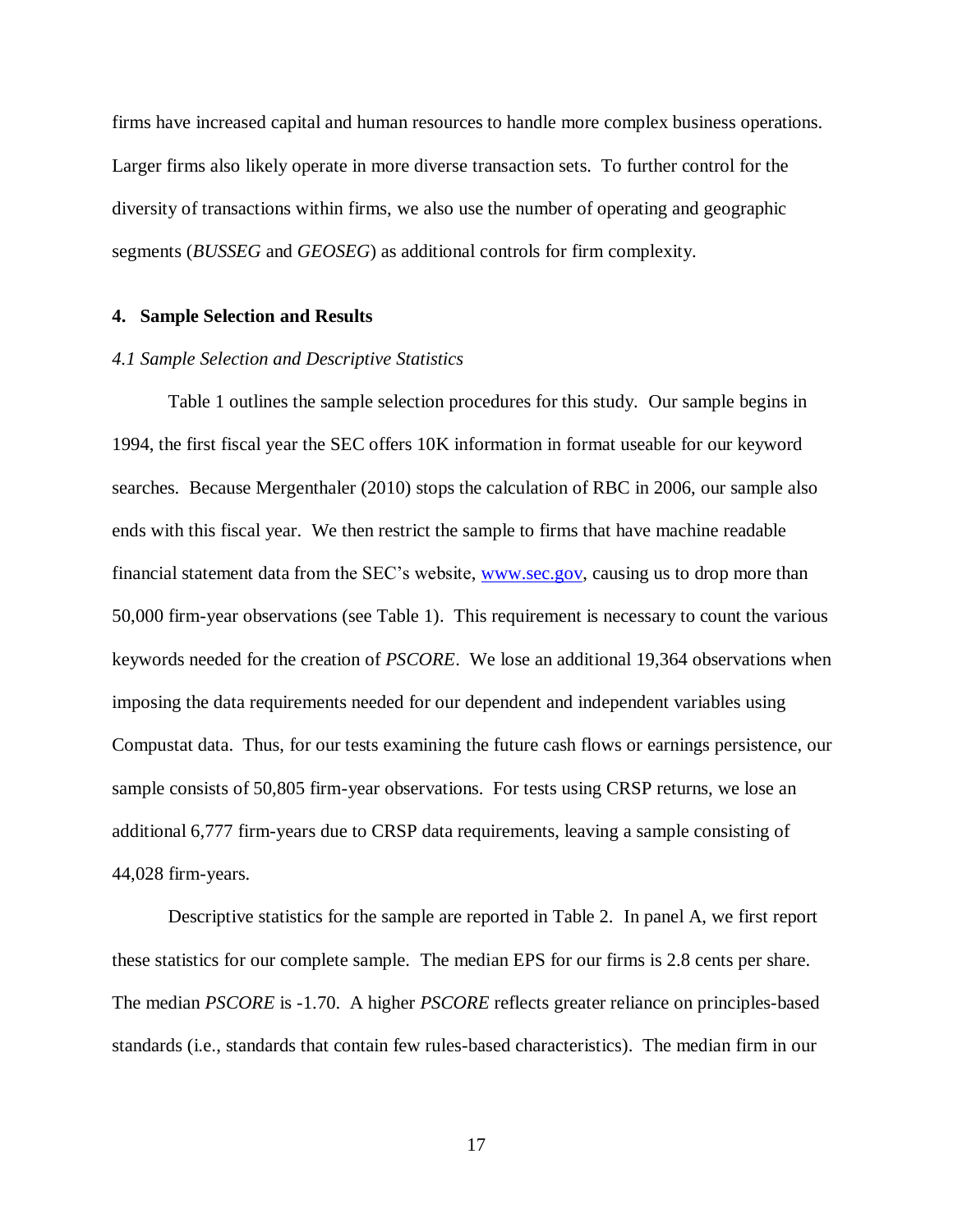firms have increased capital and human resources to handle more complex business operations. Larger firms also likely operate in more diverse transaction sets. To further control for the diversity of transactions within firms, we also use the number of operating and geographic segments (*BUSSEG* and *GEOSEG*) as additional controls for firm complexity.

#### **4. Sample Selection and Results**

#### *4.1 Sample Selection and Descriptive Statistics*

Table 1 outlines the sample selection procedures for this study. Our sample begins in 1994, the first fiscal year the SEC offers 10K information in format useable for our keyword searches. Because Mergenthaler (2010) stops the calculation of RBC in 2006, our sample also ends with this fiscal year. We then restrict the sample to firms that have machine readable financial statement data from the SEC's website, [www.sec.gov,](http://www.sec.gov/) causing us to drop more than 50,000 firm-year observations (see Table 1). This requirement is necessary to count the various keywords needed for the creation of *PSCORE*. We lose an additional 19,364 observations when imposing the data requirements needed for our dependent and independent variables using Compustat data. Thus, for our tests examining the future cash flows or earnings persistence, our sample consists of 50,805 firm-year observations. For tests using CRSP returns, we lose an additional 6,777 firm-years due to CRSP data requirements, leaving a sample consisting of 44,028 firm-years.

Descriptive statistics for the sample are reported in Table 2. In panel A, we first report these statistics for our complete sample. The median EPS for our firms is 2.8 cents per share. The median *PSCORE* is -1.70. A higher *PSCORE* reflects greater reliance on principles-based standards (i.e., standards that contain few rules-based characteristics). The median firm in our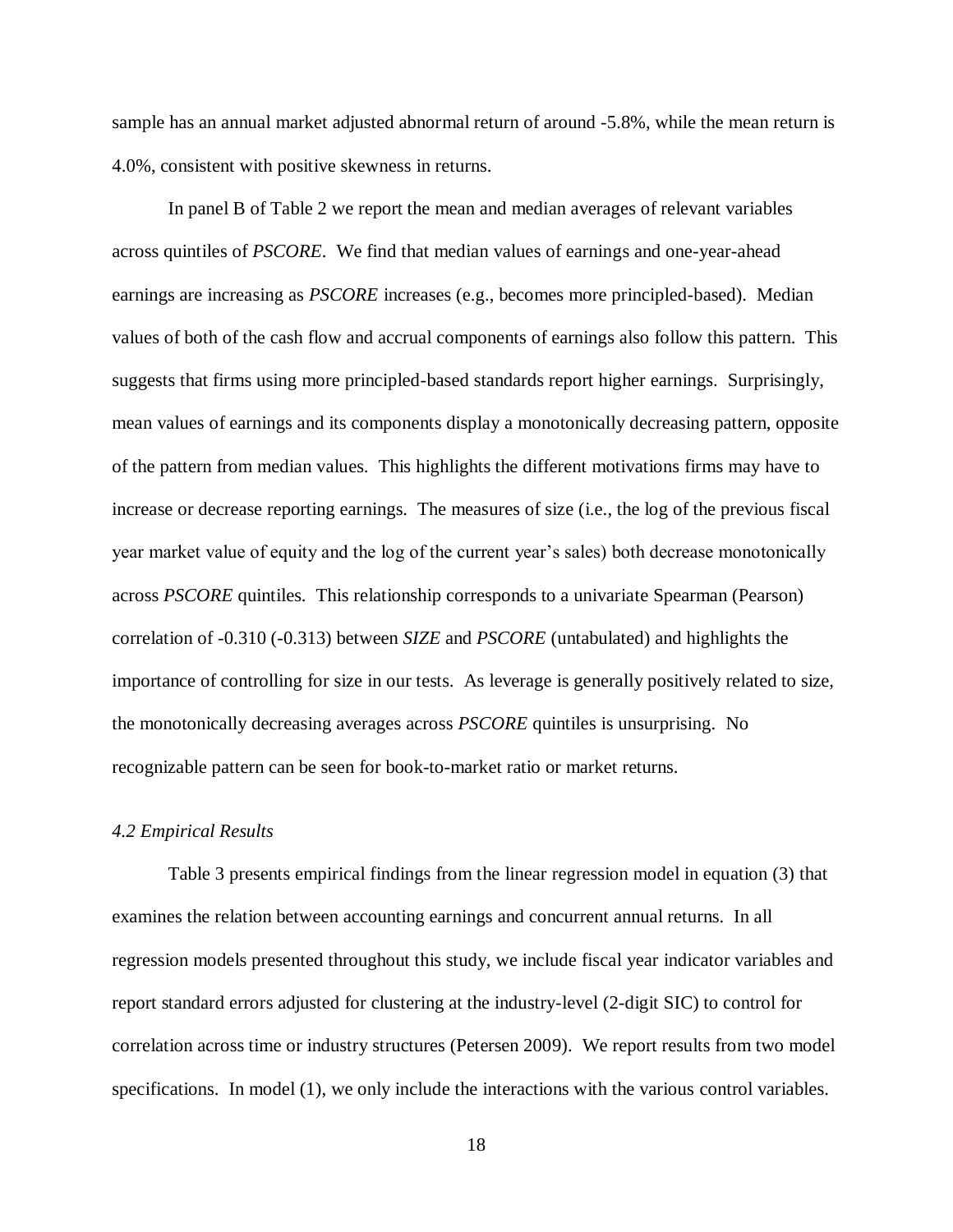sample has an annual market adjusted abnormal return of around -5.8%, while the mean return is 4.0%, consistent with positive skewness in returns.

In panel B of Table 2 we report the mean and median averages of relevant variables across quintiles of *PSCORE*. We find that median values of earnings and one-year-ahead earnings are increasing as *PSCORE* increases (e.g., becomes more principled-based). Median values of both of the cash flow and accrual components of earnings also follow this pattern. This suggests that firms using more principled-based standards report higher earnings. Surprisingly, mean values of earnings and its components display a monotonically decreasing pattern, opposite of the pattern from median values. This highlights the different motivations firms may have to increase or decrease reporting earnings. The measures of size (i.e., the log of the previous fiscal year market value of equity and the log of the current year's sales) both decrease monotonically across *PSCORE* quintiles. This relationship corresponds to a univariate Spearman (Pearson) correlation of -0.310 (-0.313) between *SIZE* and *PSCORE* (untabulated) and highlights the importance of controlling for size in our tests. As leverage is generally positively related to size, the monotonically decreasing averages across *PSCORE* quintiles is unsurprising. No recognizable pattern can be seen for book-to-market ratio or market returns.

#### *4.2 Empirical Results*

Table 3 presents empirical findings from the linear regression model in equation (3) that examines the relation between accounting earnings and concurrent annual returns. In all regression models presented throughout this study, we include fiscal year indicator variables and report standard errors adjusted for clustering at the industry-level (2-digit SIC) to control for correlation across time or industry structures (Petersen 2009). We report results from two model specifications. In model (1), we only include the interactions with the various control variables.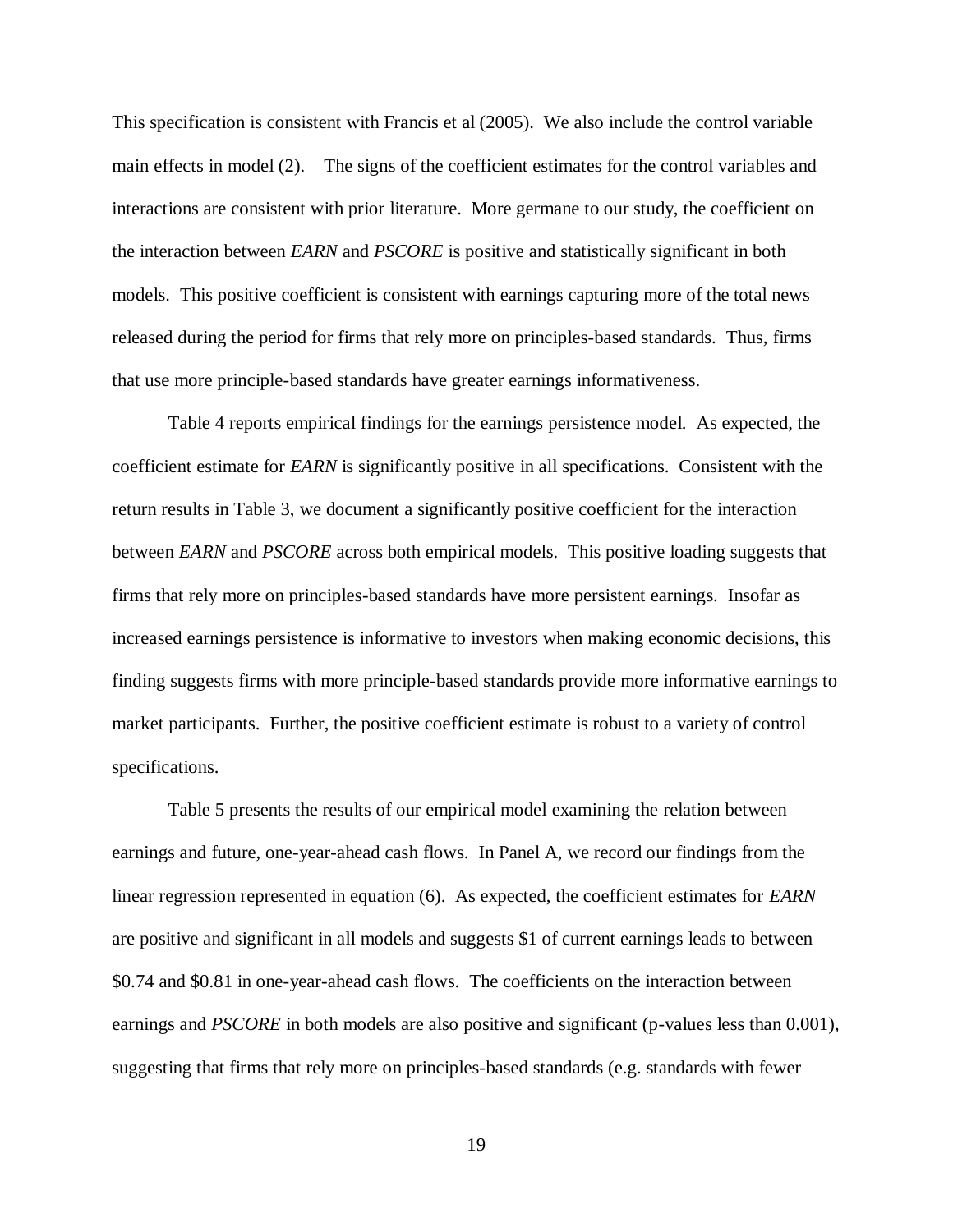This specification is consistent with Francis et al (2005). We also include the control variable main effects in model (2). The signs of the coefficient estimates for the control variables and interactions are consistent with prior literature. More germane to our study, the coefficient on the interaction between *EARN* and *PSCORE* is positive and statistically significant in both models. This positive coefficient is consistent with earnings capturing more of the total news released during the period for firms that rely more on principles-based standards. Thus, firms that use more principle-based standards have greater earnings informativeness.

Table 4 reports empirical findings for the earnings persistence model. As expected, the coefficient estimate for *EARN* is significantly positive in all specifications. Consistent with the return results in Table 3, we document a significantly positive coefficient for the interaction between *EARN* and *PSCORE* across both empirical models. This positive loading suggests that firms that rely more on principles-based standards have more persistent earnings. Insofar as increased earnings persistence is informative to investors when making economic decisions, this finding suggests firms with more principle-based standards provide more informative earnings to market participants. Further, the positive coefficient estimate is robust to a variety of control specifications.

Table 5 presents the results of our empirical model examining the relation between earnings and future, one-year-ahead cash flows. In Panel A, we record our findings from the linear regression represented in equation (6). As expected, the coefficient estimates for *EARN*  are positive and significant in all models and suggests \$1 of current earnings leads to between \$0.74 and \$0.81 in one-year-ahead cash flows. The coefficients on the interaction between earnings and *PSCORE* in both models are also positive and significant (p-values less than 0.001), suggesting that firms that rely more on principles-based standards (e.g. standards with fewer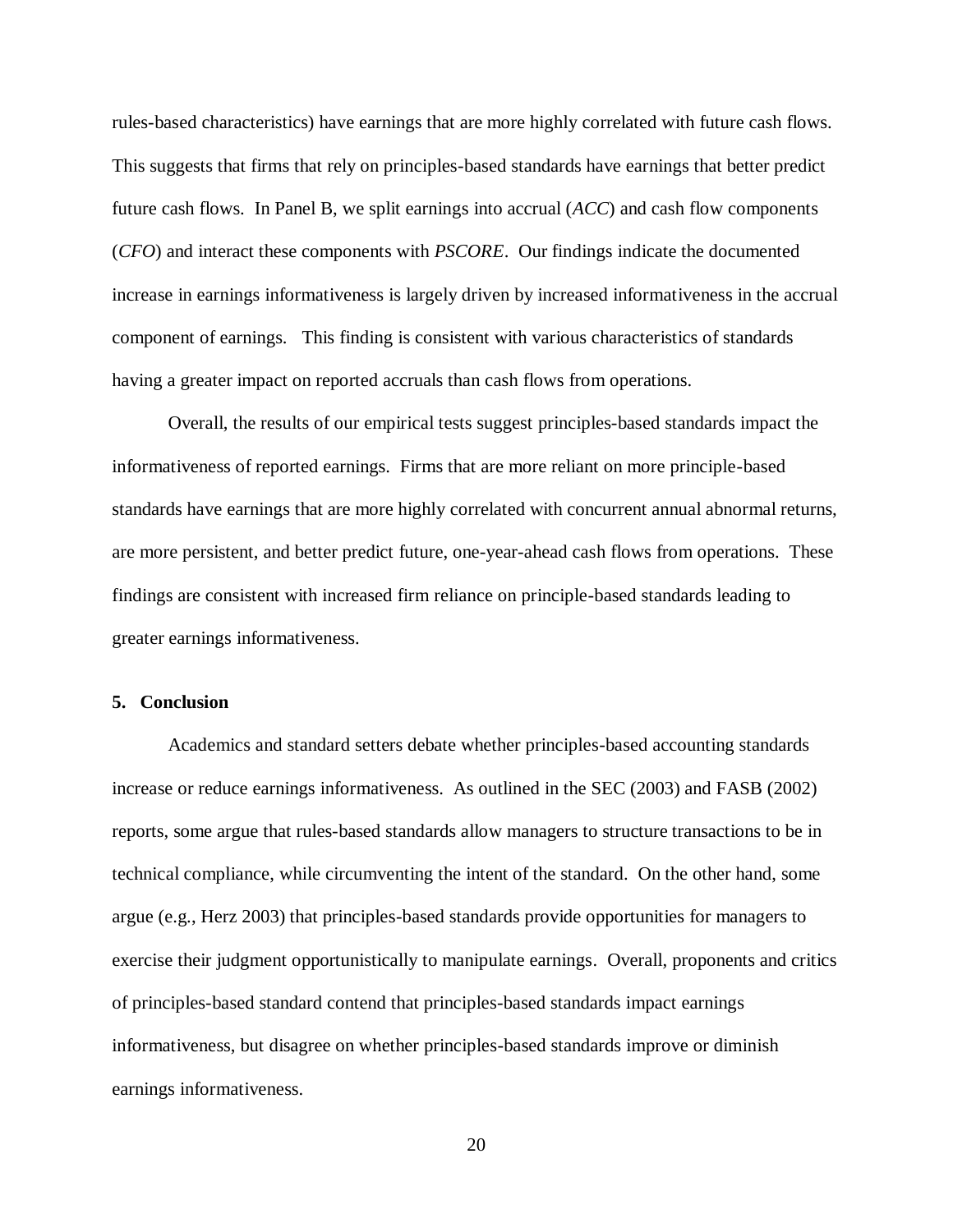rules-based characteristics) have earnings that are more highly correlated with future cash flows. This suggests that firms that rely on principles-based standards have earnings that better predict future cash flows. In Panel B, we split earnings into accrual (*ACC*) and cash flow components (*CFO*) and interact these components with *PSCORE*. Our findings indicate the documented increase in earnings informativeness is largely driven by increased informativeness in the accrual component of earnings. This finding is consistent with various characteristics of standards having a greater impact on reported accruals than cash flows from operations.

Overall, the results of our empirical tests suggest principles-based standards impact the informativeness of reported earnings. Firms that are more reliant on more principle-based standards have earnings that are more highly correlated with concurrent annual abnormal returns, are more persistent, and better predict future, one-year-ahead cash flows from operations. These findings are consistent with increased firm reliance on principle-based standards leading to greater earnings informativeness.

#### **5. Conclusion**

Academics and standard setters debate whether principles-based accounting standards increase or reduce earnings informativeness. As outlined in the SEC (2003) and FASB (2002) reports, some argue that rules-based standards allow managers to structure transactions to be in technical compliance, while circumventing the intent of the standard. On the other hand, some argue (e.g., Herz 2003) that principles-based standards provide opportunities for managers to exercise their judgment opportunistically to manipulate earnings. Overall, proponents and critics of principles-based standard contend that principles-based standards impact earnings informativeness, but disagree on whether principles-based standards improve or diminish earnings informativeness.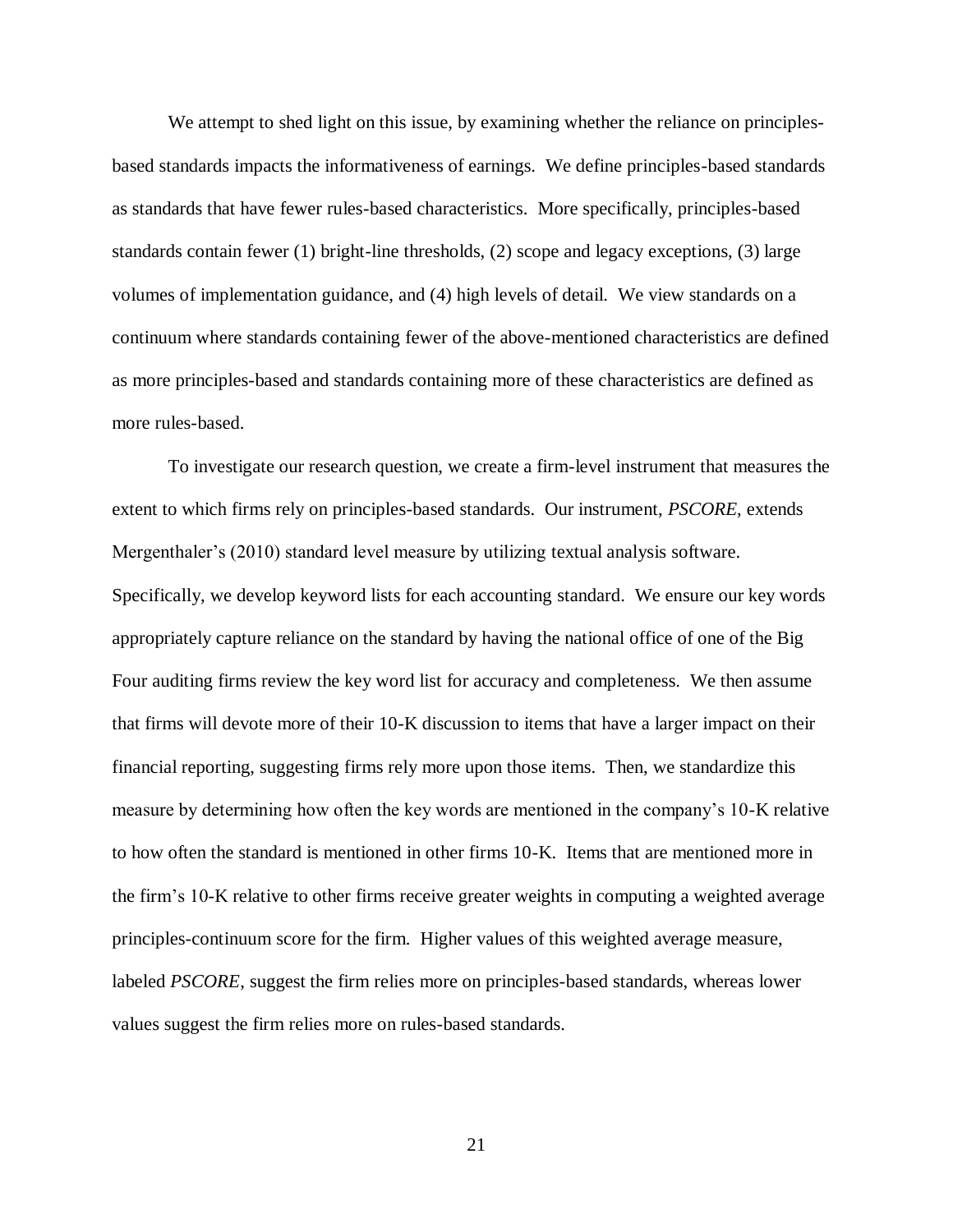We attempt to shed light on this issue, by examining whether the reliance on principlesbased standards impacts the informativeness of earnings. We define principles-based standards as standards that have fewer rules-based characteristics. More specifically, principles-based standards contain fewer (1) bright-line thresholds, (2) scope and legacy exceptions, (3) large volumes of implementation guidance, and (4) high levels of detail. We view standards on a continuum where standards containing fewer of the above-mentioned characteristics are defined as more principles-based and standards containing more of these characteristics are defined as more rules-based.

To investigate our research question, we create a firm-level instrument that measures the extent to which firms rely on principles-based standards. Our instrument, *PSCORE*, extends Mergenthaler's (2010) standard level measure by utilizing textual analysis software. Specifically, we develop keyword lists for each accounting standard. We ensure our key words appropriately capture reliance on the standard by having the national office of one of the Big Four auditing firms review the key word list for accuracy and completeness. We then assume that firms will devote more of their 10-K discussion to items that have a larger impact on their financial reporting, suggesting firms rely more upon those items. Then, we standardize this measure by determining how often the key words are mentioned in the company's 10-K relative to how often the standard is mentioned in other firms 10-K. Items that are mentioned more in the firm's 10-K relative to other firms receive greater weights in computing a weighted average principles-continuum score for the firm. Higher values of this weighted average measure, labeled *PSCORE*, suggest the firm relies more on principles-based standards, whereas lower values suggest the firm relies more on rules-based standards.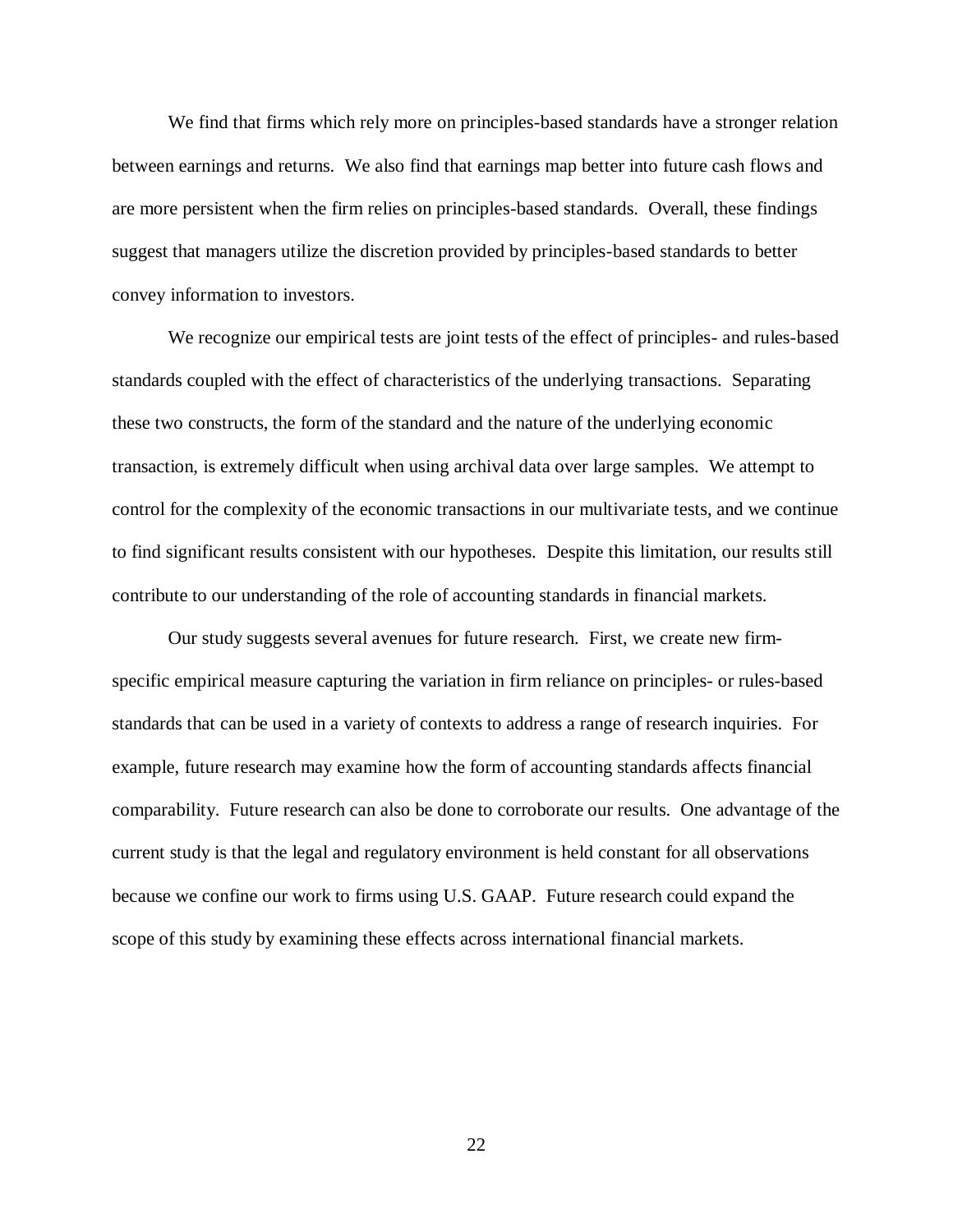We find that firms which rely more on principles-based standards have a stronger relation between earnings and returns. We also find that earnings map better into future cash flows and are more persistent when the firm relies on principles-based standards. Overall, these findings suggest that managers utilize the discretion provided by principles-based standards to better convey information to investors.

We recognize our empirical tests are joint tests of the effect of principles- and rules-based standards coupled with the effect of characteristics of the underlying transactions. Separating these two constructs, the form of the standard and the nature of the underlying economic transaction, is extremely difficult when using archival data over large samples. We attempt to control for the complexity of the economic transactions in our multivariate tests, and we continue to find significant results consistent with our hypotheses. Despite this limitation, our results still contribute to our understanding of the role of accounting standards in financial markets.

Our study suggests several avenues for future research. First, we create new firmspecific empirical measure capturing the variation in firm reliance on principles- or rules-based standards that can be used in a variety of contexts to address a range of research inquiries. For example, future research may examine how the form of accounting standards affects financial comparability. Future research can also be done to corroborate our results. One advantage of the current study is that the legal and regulatory environment is held constant for all observations because we confine our work to firms using U.S. GAAP. Future research could expand the scope of this study by examining these effects across international financial markets.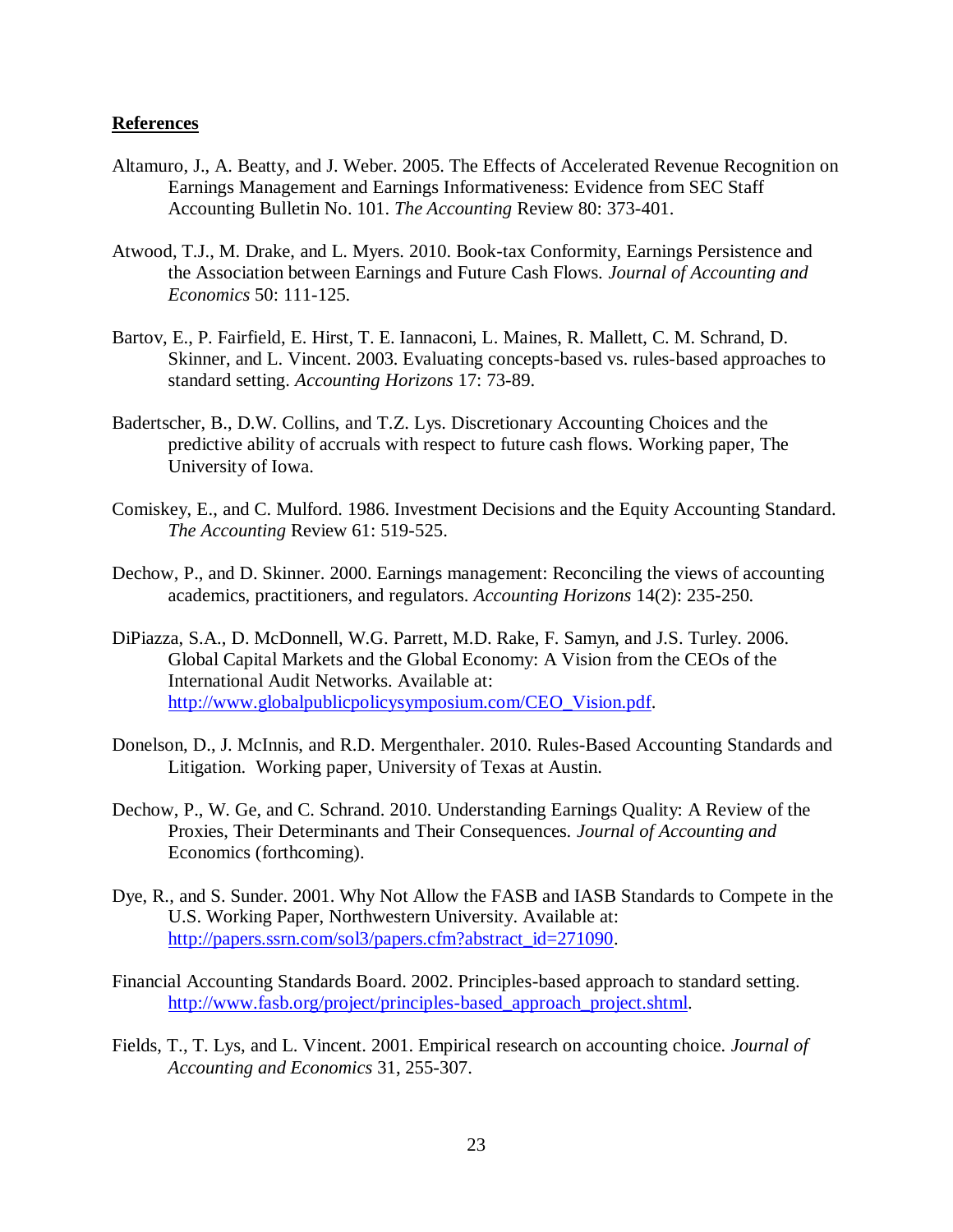#### **References**

- Altamuro, J., A. Beatty, and J. Weber. 2005. The Effects of Accelerated Revenue Recognition on Earnings Management and Earnings Informativeness: Evidence from SEC Staff Accounting Bulletin No. 101. *The Accounting* Review 80: 373-401.
- Atwood, T.J., M. Drake, and L. Myers. 2010. Book-tax Conformity, Earnings Persistence and the Association between Earnings and Future Cash Flows. *Journal of Accounting and Economics* 50: 111-125.
- Bartov, E., P. Fairfield, E. Hirst, T. E. Iannaconi, L. Maines, R. Mallett, C. M. Schrand, D. Skinner, and L. Vincent. 2003. Evaluating concepts-based vs. rules-based approaches to standard setting. *Accounting Horizons* 17: 73-89.
- Badertscher, B., D.W. Collins, and T.Z. Lys. Discretionary Accounting Choices and the predictive ability of accruals with respect to future cash flows. Working paper, The University of Iowa.
- Comiskey, E., and C. Mulford. 1986. Investment Decisions and the Equity Accounting Standard. *The Accounting* Review 61: 519-525.
- Dechow, P., and D. Skinner. 2000. Earnings management: Reconciling the views of accounting academics, practitioners, and regulators. *Accounting Horizons* 14(2): 235-250.
- DiPiazza, S.A., D. McDonnell, W.G. Parrett, M.D. Rake, F. Samyn, and J.S. Turley. 2006. Global Capital Markets and the Global Economy: A Vision from the CEOs of the International Audit Networks. Available at: [http://www.globalpublicpolicysymposium.com/CEO\\_Vision.pdf.](http://www.globalpublicpolicysymposium.com/CEO_Vision.pdf)
- Donelson, D., J. McInnis, and R.D. Mergenthaler. 2010. Rules-Based Accounting Standards and Litigation. Working paper, University of Texas at Austin.
- Dechow, P., W. Ge, and C. Schrand. 2010. Understanding Earnings Quality: A Review of the Proxies, Their Determinants and Their Consequences. *Journal of Accounting and*  Economics (forthcoming).
- Dye, R., and S. Sunder. 2001. Why Not Allow the FASB and IASB Standards to Compete in the U.S. Working Paper, Northwestern University. Available at: [http://papers.ssrn.com/sol3/papers.cfm?abstract\\_id=271090.](http://papers.ssrn.com/sol3/papers.cfm?abstract_id=271090)
- Financial Accounting Standards Board. 2002. Principles-based approach to standard setting. [http://www.fasb.org/project/principles-based\\_approach\\_project.shtml.](http://www.fasb.org/project/principles-based_approach_project.shtml)
- Fields, T., T. Lys, and L. Vincent. 2001. Empirical research on accounting choice*. Journal of Accounting and Economics* 31, 255-307.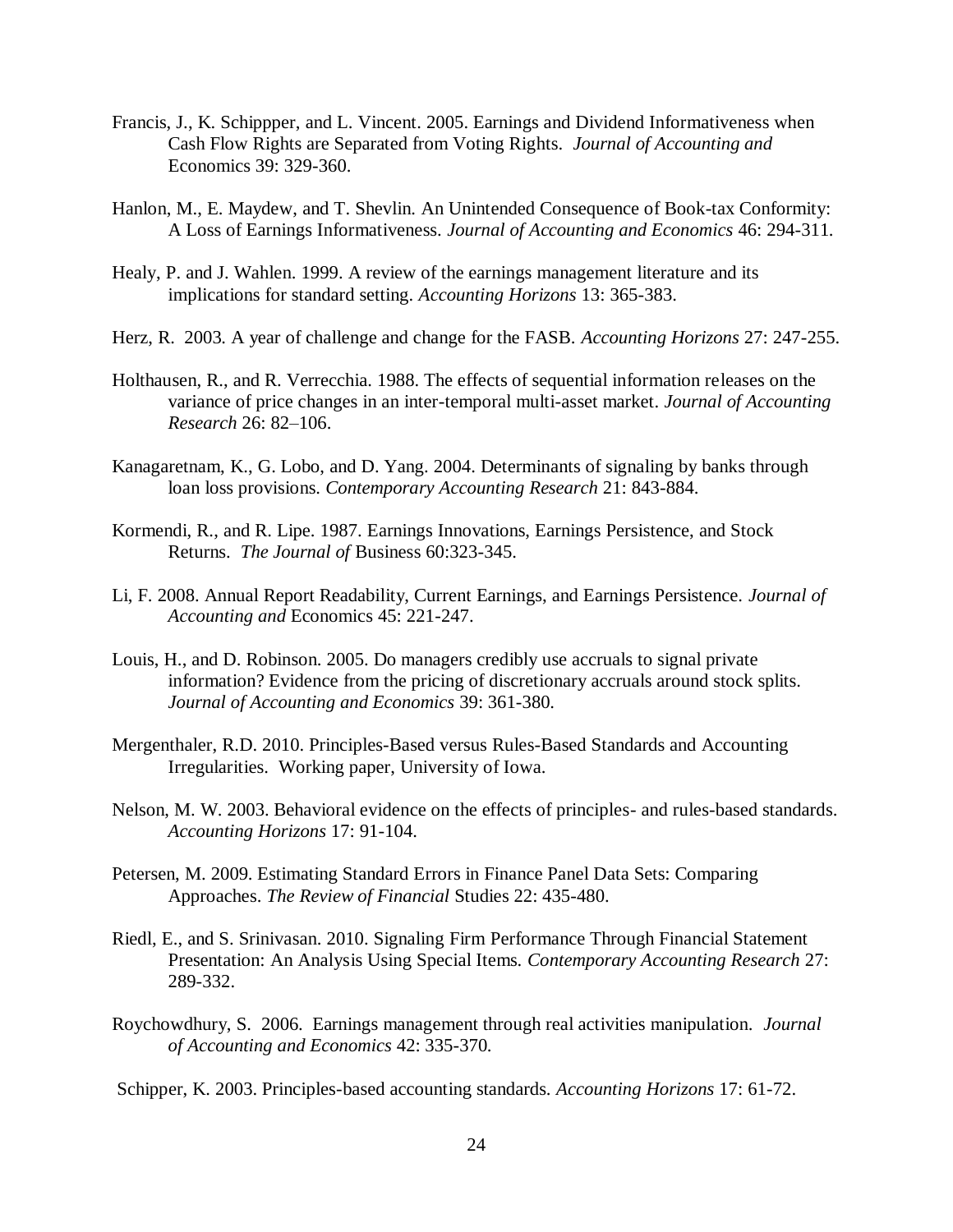- Francis, J., K. Schippper, and L. Vincent. 2005. Earnings and Dividend Informativeness when Cash Flow Rights are Separated from Voting Rights. *Journal of Accounting and*  Economics 39: 329-360.
- Hanlon, M., E. Maydew, and T. Shevlin. An Unintended Consequence of Book-tax Conformity: A Loss of Earnings Informativeness. *Journal of Accounting and Economics* 46: 294-311.
- Healy, P. and J. Wahlen. 1999. A review of the earnings management literature and its implications for standard setting. *Accounting Horizons* 13: 365-383.
- Herz, R. 2003. A year of challenge and change for the FASB. *Accounting Horizons* 27: 247-255.
- Holthausen, R., and R. Verrecchia. 1988. The effects of sequential information releases on the variance of price changes in an inter-temporal multi-asset market. *Journal of Accounting Research* 26: 82–106.
- Kanagaretnam, K., G. Lobo, and D. Yang. 2004. Determinants of signaling by banks through loan loss provisions. *Contemporary Accounting Research* 21: 843-884.
- Kormendi, R., and R. Lipe. 1987. Earnings Innovations, Earnings Persistence, and Stock Returns. *The Journal of* Business 60:323-345.
- Li, F. 2008. Annual Report Readability, Current Earnings, and Earnings Persistence. *Journal of Accounting and* Economics 45: 221-247.
- Louis, H., and D. Robinson. 2005. Do managers credibly use accruals to signal private information? Evidence from the pricing of discretionary accruals around stock splits. *Journal of Accounting and Economics* 39: 361-380.
- Mergenthaler, R.D. 2010. Principles-Based versus Rules-Based Standards and Accounting Irregularities. Working paper, University of Iowa.
- Nelson, M. W. 2003. Behavioral evidence on the effects of principles- and rules-based standards. *Accounting Horizons* 17: 91-104.
- Petersen, M. 2009. Estimating Standard Errors in Finance Panel Data Sets: Comparing Approaches. *The Review of Financial* Studies 22: 435-480.
- Riedl, E., and S. Srinivasan. 2010. Signaling Firm Performance Through Financial Statement Presentation: An Analysis Using Special Items. *Contemporary Accounting Research* 27: 289-332.
- Roychowdhury, S. 2006. Earnings management through real activities manipulation. *Journal of Accounting and Economics* 42: 335-370.

Schipper, K. 2003. Principles-based accounting standards. *Accounting Horizons* 17: 61-72.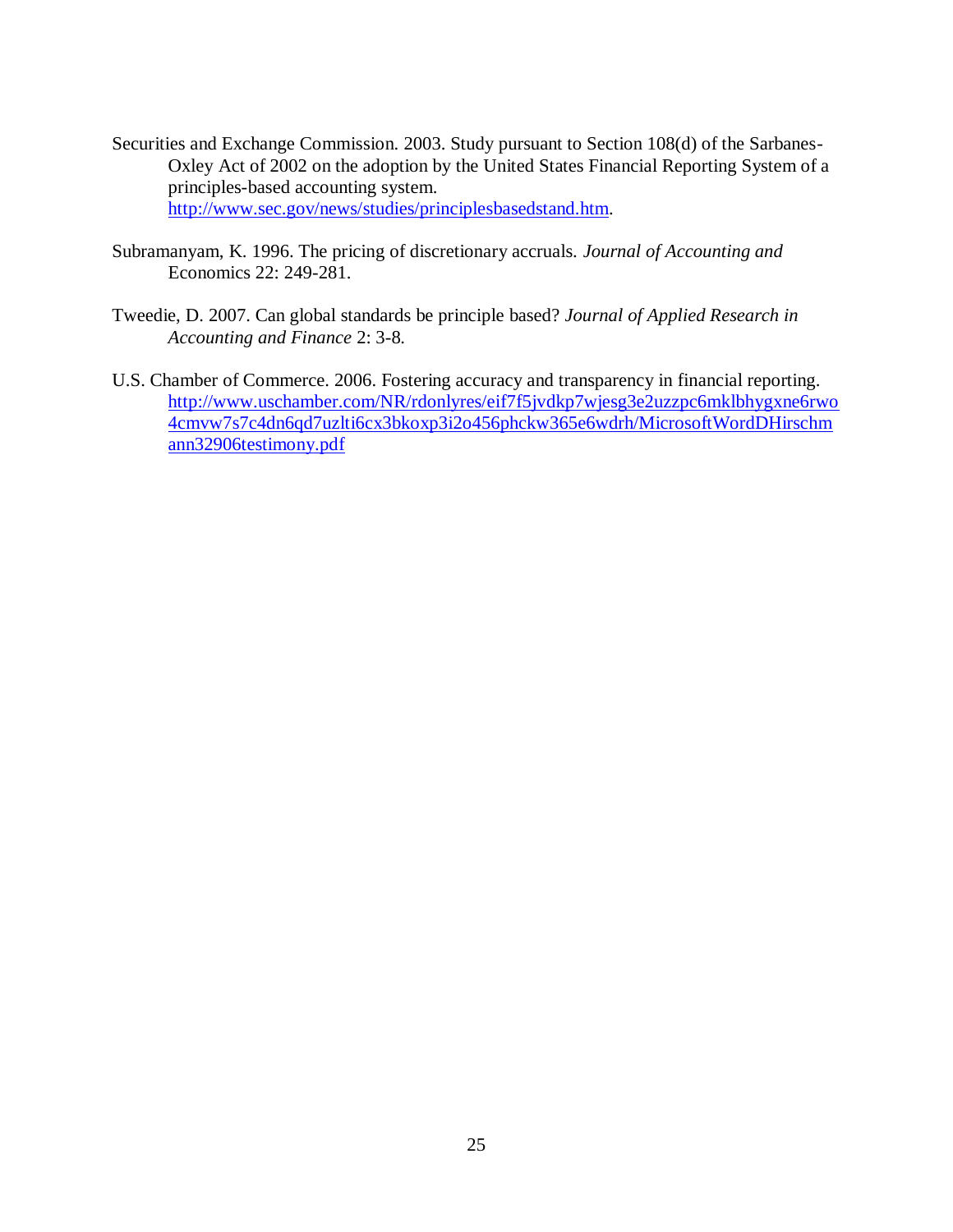- Securities and Exchange Commission. 2003. Study pursuant to Section 108(d) of the Sarbanes-Oxley Act of 2002 on the adoption by the United States Financial Reporting System of a principles-based accounting system. [http://www.sec.gov/news/studies/principlesbasedstand.htm.](http://www.sec.gov/news/studies/principlesbasedstand.htm)
- Subramanyam, K. 1996. The pricing of discretionary accruals. *Journal of Accounting and*  Economics 22: 249-281.
- Tweedie, D. 2007. Can global standards be principle based? *Journal of Applied Research in Accounting and Finance* 2: 3-8.
- U.S. Chamber of Commerce. 2006. Fostering accuracy and transparency in financial reporting. [http://www.uschamber.com/NR/rdonlyres/eif7f5jvdkp7wjesg3e2uzzpc6mklbhygxne6rwo](http://www.uschamber.com/NR/rdonlyres/eif7f5jvdkp7wjesg3e2uzzpc6mklbhygxne6rwo4cmvw7s7c4dn6qd7uzlti6cx3bkoxp3i2o456phckw365e6wdrh/MicrosoftWordDHirschmann32906testimony.pdf) [4cmvw7s7c4dn6qd7uzlti6cx3bkoxp3i2o456phckw365e6wdrh/MicrosoftWordDHirschm](http://www.uschamber.com/NR/rdonlyres/eif7f5jvdkp7wjesg3e2uzzpc6mklbhygxne6rwo4cmvw7s7c4dn6qd7uzlti6cx3bkoxp3i2o456phckw365e6wdrh/MicrosoftWordDHirschmann32906testimony.pdf) [ann32906testimony.pdf](http://www.uschamber.com/NR/rdonlyres/eif7f5jvdkp7wjesg3e2uzzpc6mklbhygxne6rwo4cmvw7s7c4dn6qd7uzlti6cx3bkoxp3i2o456phckw365e6wdrh/MicrosoftWordDHirschmann32906testimony.pdf)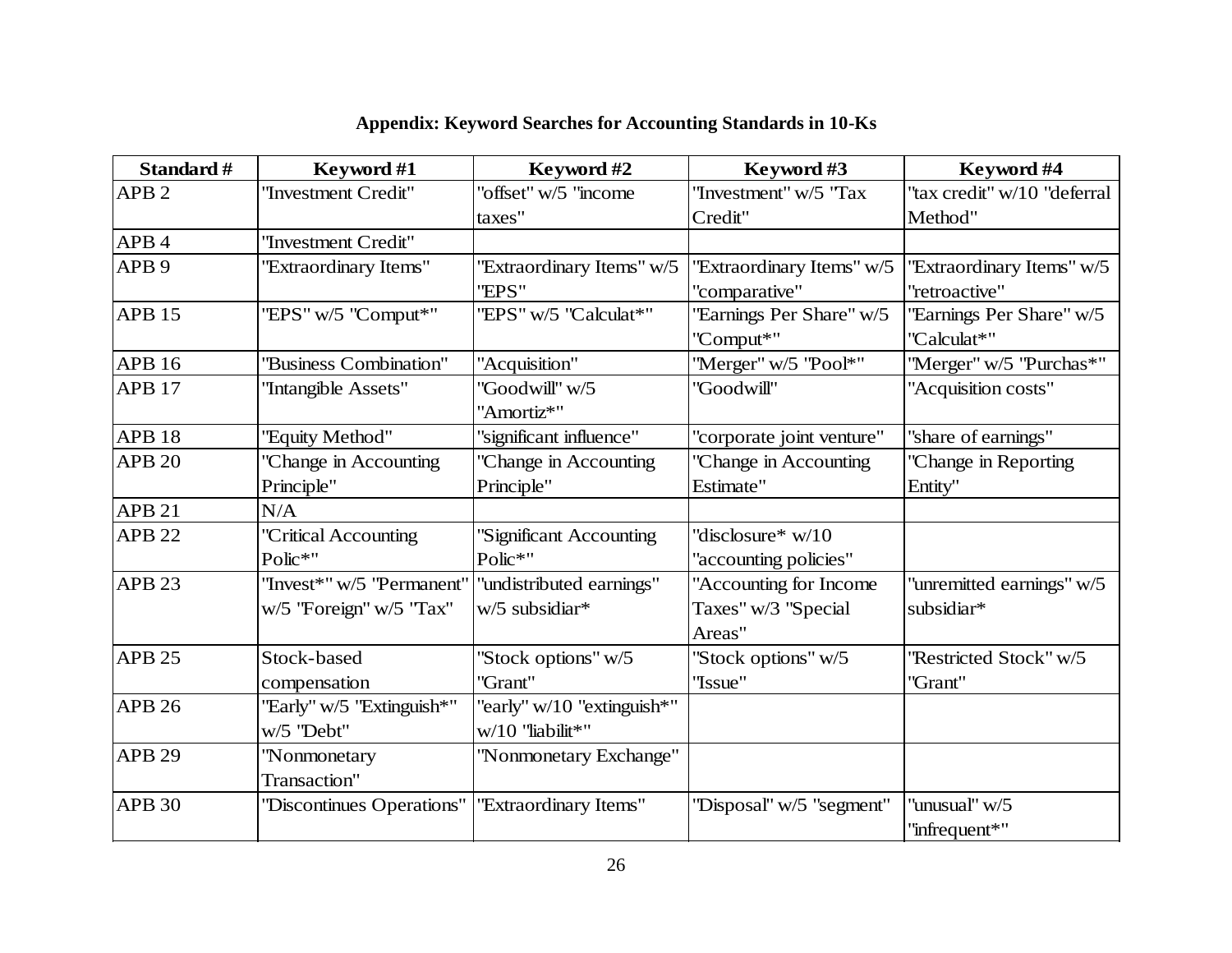| Standard #        | Keyword #1<br>Keyword #2                             |                                                    | Keyword #3                                              | Keyword #4                                 |  |
|-------------------|------------------------------------------------------|----------------------------------------------------|---------------------------------------------------------|--------------------------------------------|--|
| APB <sub>2</sub>  | "Investment Credit"                                  | "offset" w/5 "income"                              | "Investment" w/5 "Tax                                   | "tax credit" w/10 "deferral                |  |
|                   |                                                      | taxes"                                             | Credit"                                                 | Method"                                    |  |
| APB <sub>4</sub>  | "Investment Credit"                                  |                                                    |                                                         |                                            |  |
| APB <sub>9</sub>  | "Extraordinary Items"                                | "Extraordinary Items" w/5<br>"EPS"                 | "Extraordinary Items" w/5<br>"comparative"              | "Extraordinary Items" w/5<br>"retroactive" |  |
| <b>APB 15</b>     | "EPS" w/5 "Comput*"                                  | "EPS" w/5 "Calculat*"                              | "Earnings Per Share" w/5<br>"Comput*"                   | "Earnings Per Share" w/5<br>"Calculat*"    |  |
| <b>APB 16</b>     | "Business Combination"                               | "Acquisition"                                      | "Merger" w/5 "Pool*"                                    | "Merger" w/5 "Purchas*"                    |  |
| APB <sub>17</sub> | "Intangible Assets"                                  | "Goodwill" w/5<br>"Amortiz*"                       | "Goodwill"                                              | "Acquisition costs"                        |  |
| APB <sub>18</sub> | "Equity Method"                                      | "significant influence"                            | "corporate joint venture"                               | "share of earnings"                        |  |
| <b>APB 20</b>     | 'Change in Accounting                                | "Change in Accounting                              | "Change in Accounting                                   | "Change in Reporting                       |  |
|                   | Principle"                                           | Principle"                                         | Estimate"                                               | Entity"                                    |  |
| APB <sub>21</sub> | N/A                                                  |                                                    |                                                         |                                            |  |
| <b>APB 22</b>     | "Critical Accounting<br>Polic*"                      | "Significant Accounting<br>Polic*"                 | "disclosure* $w/10$<br>"accounting policies"            |                                            |  |
| APB <sub>23</sub> | "Invest*" w/5 "Permanent"<br>w/5 "Foreign" w/5 "Tax" | "undistributed earnings"<br>w/5 subsidiar*         | "Accounting for Income<br>Taxes" w/3 "Special<br>Areas" | "unremitted earnings" w/5<br>subsidiar*    |  |
| <b>APB 25</b>     | Stock-based<br>compensation                          | "Stock options" w/5<br>"Grant"                     | "Stock options" w/5<br>"Issue"                          | "Restricted Stock" w/5<br>"Grant"          |  |
| <b>APB 26</b>     | "Early" w/5 "Extinguish*"<br>w/5 "Debt"              | "early" $w/10$ "extinguish*"<br>$w/10$ "liabilit*" |                                                         |                                            |  |
| <b>APB 29</b>     | "Nonmonetary<br>Transaction"                         | "Nonmonetary Exchange"                             |                                                         |                                            |  |
| <b>APB 30</b>     | "Discontinues Operations"                            | "Extraordinary Items"                              | "Disposal" w/5 "segment"                                | "unusual" w/5<br>"infrequent*"             |  |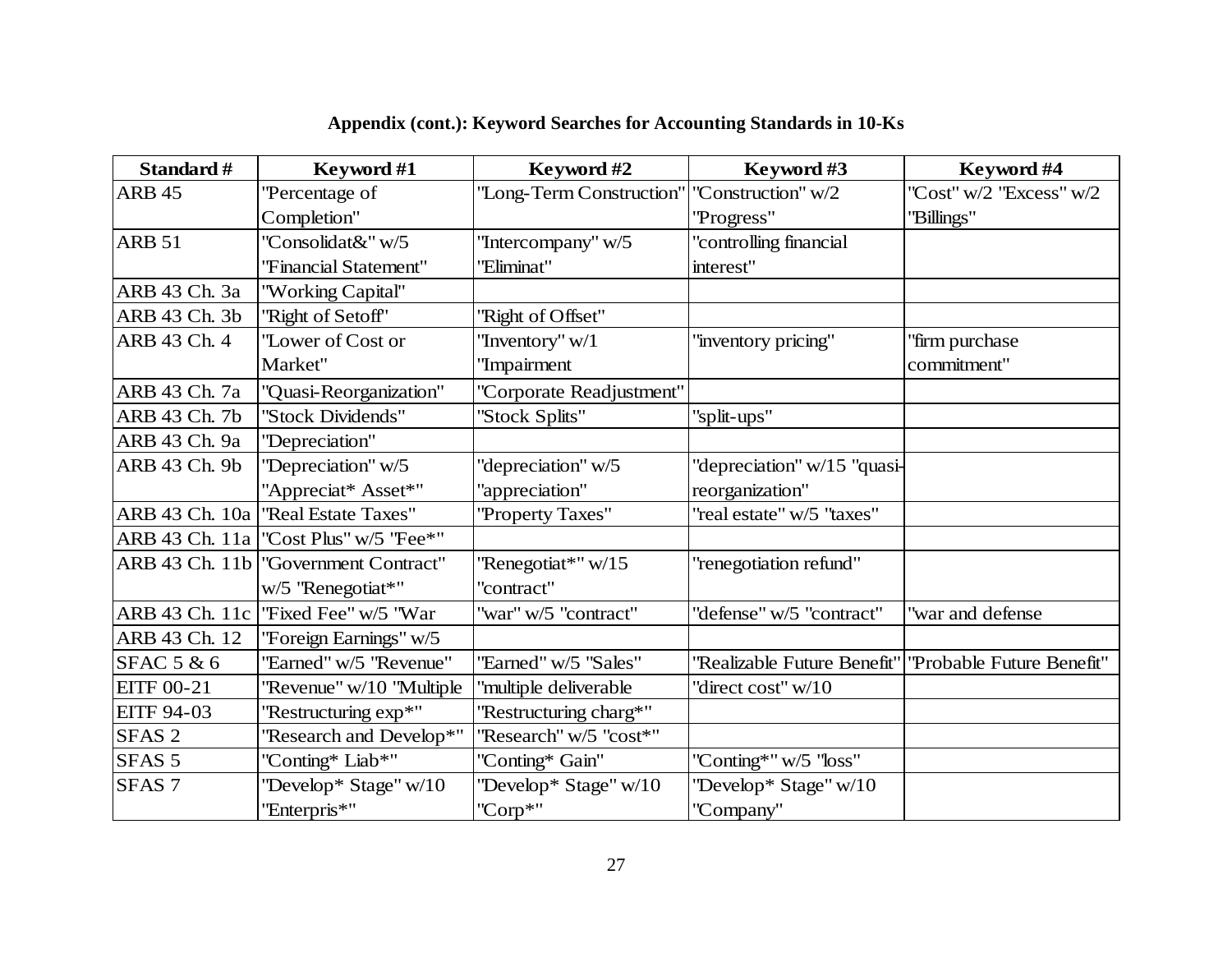| Standard #            | Keyword #1                              | Keyword #2                                    |                             | Keyword #4                |  |
|-----------------------|-----------------------------------------|-----------------------------------------------|-----------------------------|---------------------------|--|
| <b>ARB 45</b>         | 'Percentage of                          | "Long-Term Construction"   "Construction" w/2 |                             | "Cost" w/2 "Excess" w/2   |  |
|                       | Completion"                             |                                               | "Progress"                  | "Billings"                |  |
| <b>ARB 51</b>         | 'Consolidat&" w/5                       | "Intercompany" w/5                            | "controlling financial      |                           |  |
|                       | "Financial Statement"                   | "Eliminat"                                    | interest"                   |                           |  |
| ARB 43 Ch. 3a         | "Working Capital"                       |                                               |                             |                           |  |
| ARB 43 Ch. 3b         | "Right of Setoff"                       | "Right of Offset"                             |                             |                           |  |
| ARB 43 Ch. 4          | "Lower of Cost or                       | "Inventory" w/1                               | "inventory pricing"         | "firm purchase            |  |
|                       | Market"                                 | 'Impairment                                   |                             | commitment"               |  |
| ARB 43 Ch. 7a         | "Quasi-Reorganization"                  | "Corporate Readjustment"                      |                             |                           |  |
| ARB 43 Ch. 7b         | "Stock Dividends"                       | 'Stock Splits"                                | "split-ups"                 |                           |  |
| ARB 43 Ch. 9a         | "Depreciation"                          |                                               |                             |                           |  |
| ARB 43 Ch. 9b         | "Depreciation" w/5                      | "depreciation" w/5                            | "depreciation" w/15 "quasi- |                           |  |
|                       | "Appreciat* Asset*"                     | "appreciation"                                | reorganization"             |                           |  |
| ARB 43 Ch. 10a        | "Real Estate Taxes"                     | "Property Taxes"                              | "real estate" w/5 "taxes"   |                           |  |
|                       | ARB 43 Ch. 11a   "Cost Plus" w/5 "Fee*" |                                               |                             |                           |  |
| ARB 43 Ch. 11b        | "Government Contract"                   | "Renegotiat*" w/15                            | "renegotiation refund"      |                           |  |
|                       | w/5 "Renegotiat*"                       | "contract"                                    |                             |                           |  |
| ARB 43 Ch. 11c        | ''Fixed Fee" w/5 "War                   | "war" w/5 "contract"                          | "defense" w/5 "contract"    | "war and defense          |  |
| ARB 43 Ch. 12         | "Foreign Earnings" w/5                  |                                               |                             |                           |  |
| <b>SFAC 5 &amp; 6</b> | "Earned" w/5 "Revenue"                  | "Earned" w/5 "Sales"                          | 'Realizable Future Benefit' | "Probable Future Benefit" |  |
| <b>EITF 00-21</b>     | 'Revenue" w/10 "Multiple                | "multiple deliverable                         | "direct cost" w/10          |                           |  |
| <b>EITF 94-03</b>     | "Restructuring exp*"                    | "Restructuring charg*"                        |                             |                           |  |
| SFAS <sub>2</sub>     | 'Research and Develop*"                 | "Research" w/5 "cost*"                        |                             |                           |  |
| SFAS <sub>5</sub>     | "Conting* Liab*"                        | "Conting* Gain"                               | "Conting*" w/5 "loss"       |                           |  |
| SFAS <sub>7</sub>     | "Develop* Stage" w/10                   | "Develop* Stage" w/10                         | "Develop* Stage" w/10       |                           |  |
|                       | "Enterpris*"                            | "Corp*"                                       | "Company"                   |                           |  |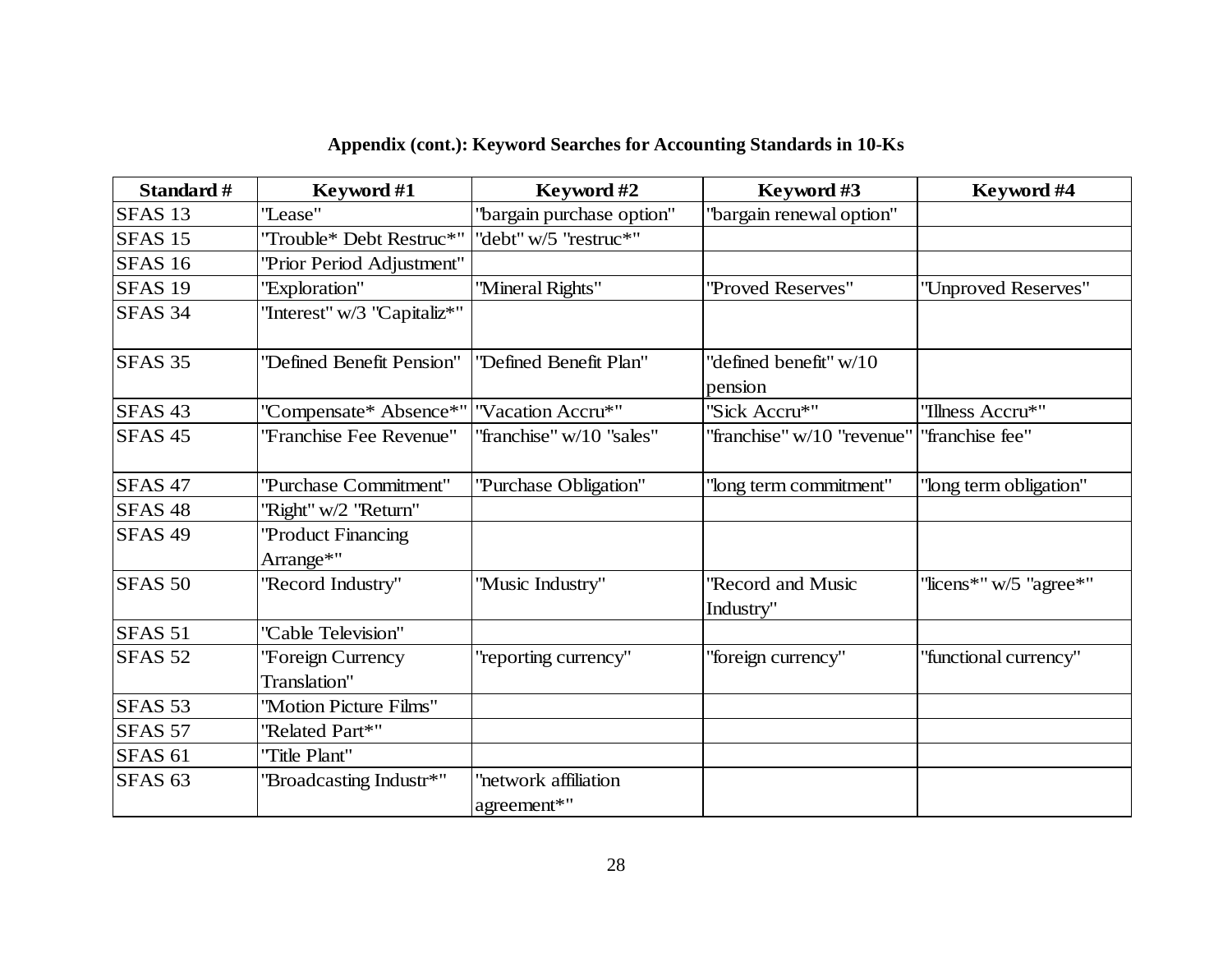| Standard #         | Keyword #2<br>Keyword #1                   |                                     | Keyword #3                           | Keyword #4               |  |
|--------------------|--------------------------------------------|-------------------------------------|--------------------------------------|--------------------------|--|
| SFAS <sub>13</sub> | "Lease"<br>"bargain purchase option"       |                                     | 'bargain renewal option"             |                          |  |
| SFAS <sub>15</sub> | "Trouble* Debt Restruc*"                   | "debt" w/5 "restruc*"               |                                      |                          |  |
| <b>SFAS 16</b>     | "Prior Period Adjustment"                  |                                     |                                      |                          |  |
| SFAS <sub>19</sub> | "Exploration"                              | "Mineral Rights"                    | ''Proved Reserves''                  | "Unproved Reserves"      |  |
| SFAS <sub>34</sub> | "Interest" w/3 "Capitaliz*"                |                                     |                                      |                          |  |
| SFAS <sub>35</sub> | "Defined Benefit Pension"                  | "Defined Benefit Plan"              | 'defined benefit" w/10<br>pension    |                          |  |
| SFAS <sub>43</sub> | "Compensate* Absence*"   "Vacation Accru*" |                                     | "Sick Accru*"                        | "Illness Accru*"         |  |
| SFAS <sub>45</sub> | "Franchise Fee Revenue"                    | "franchise" w/10 "sales"            | 'franchise'' w/10 "revenue"          | "franchise fee"          |  |
| SFAS <sub>47</sub> | "Purchase Commitment"                      | "Purchase Obligation"               | "long term commitment"               | "long term obligation"   |  |
| SFAS <sub>48</sub> | "Right" w/2 "Return"                       |                                     |                                      |                          |  |
| SFAS <sub>49</sub> | ''Product Financing<br>Arrange*"           |                                     |                                      |                          |  |
| <b>SFAS 50</b>     | "Record Industry"                          | "Music Industry"                    | <b>Record and Music</b><br>Industry" | "licens*" $w/5$ "agree*" |  |
| SFAS <sub>51</sub> | "Cable Television"                         |                                     |                                      |                          |  |
| SFAS <sub>52</sub> | 'Foreign Currency<br>Translation"          | "reporting currency"                | "foreign currency"                   | "functional currency"    |  |
| SFAS 53            | "Motion Picture Films"                     |                                     |                                      |                          |  |
| <b>SFAS 57</b>     | "Related Part*"                            |                                     |                                      |                          |  |
| <b>SFAS 61</b>     | "Title Plant"                              |                                     |                                      |                          |  |
| SFAS <sub>63</sub> | "Broadcasting Industr*"                    | 'network affiliation<br>agreement*" |                                      |                          |  |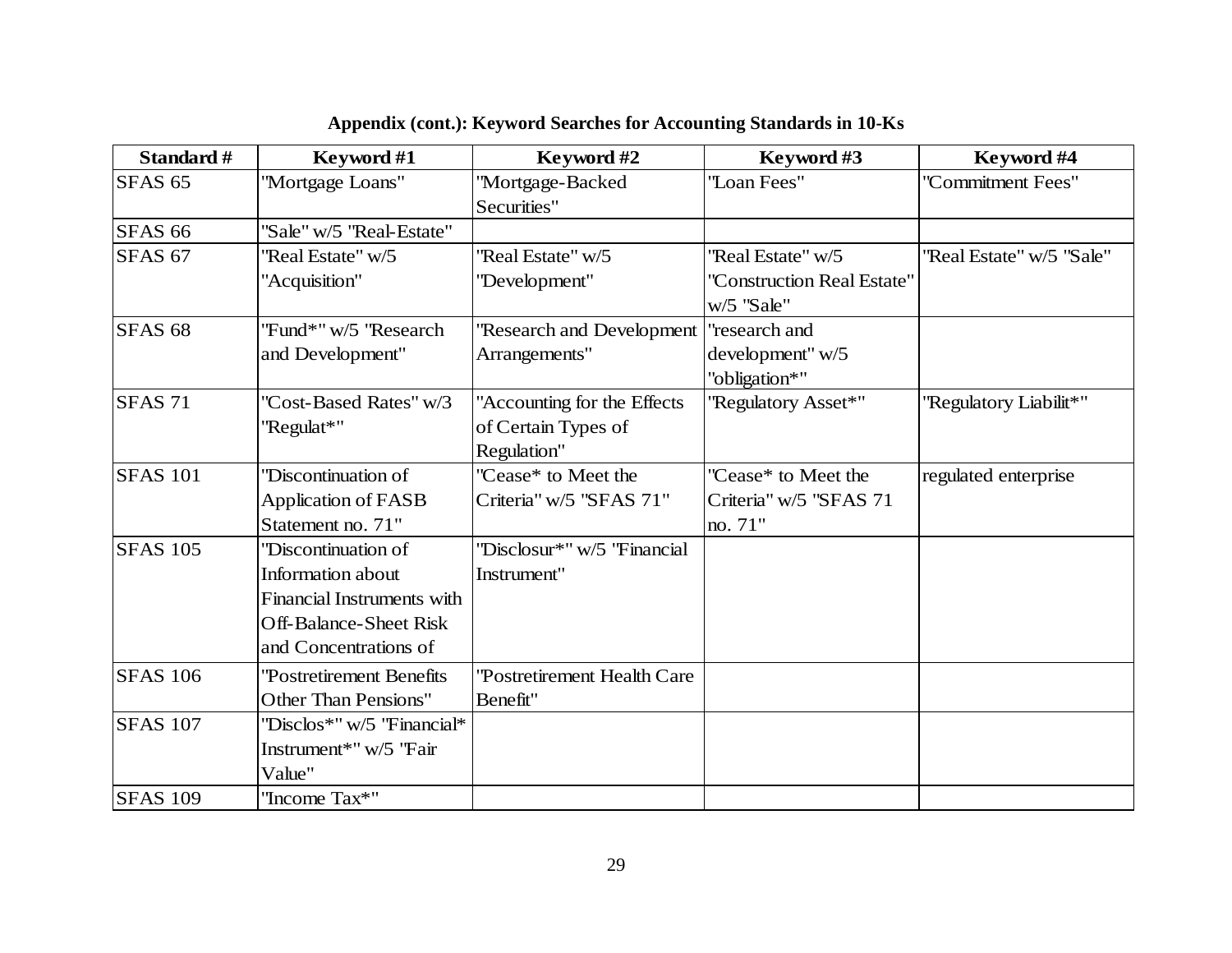| Standard #         | Keyword #1                    | Keyword #2                   | Keyword #3                 | Keyword #4               |
|--------------------|-------------------------------|------------------------------|----------------------------|--------------------------|
| SFAS <sub>65</sub> | "Mortgage Loans"              | ''Mortgage-Backed            | "Loan Fees"                | "Commitment Fees"        |
|                    |                               | Securities"                  |                            |                          |
| <b>SFAS 66</b>     | "Sale" w/5 "Real-Estate"      |                              |                            |                          |
| <b>SFAS 67</b>     | "Real Estate" w/5             | "Real Estate" w/5            | "Real Estate" w/5          | "Real Estate" w/5 "Sale" |
|                    | "Acquisition"                 | "Development"                | "Construction Real Estate" |                          |
|                    |                               |                              | w/5 "Sale"                 |                          |
| SFAS <sub>68</sub> | "Fund*" w/5 "Research         | "Research and Development    | "research and              |                          |
|                    | and Development"              | Arrangements"                | development" w/5           |                          |
|                    |                               |                              | "obligation*"              |                          |
| <b>SFAS 71</b>     | 'Cost-Based Rates" w/3        | "Accounting for the Effects  | "Regulatory Asset*"        | "Regulatory Liabilit*"   |
|                    | "Regulat*"                    | of Certain Types of          |                            |                          |
|                    |                               | Regulation"                  |                            |                          |
| <b>SFAS 101</b>    | "Discontinuation of           | "Cease* to Meet the          | "Cease* to Meet the        | regulated enterprise     |
|                    | <b>Application of FASB</b>    | Criteria" w/5 "SFAS 71"      | Criteria" w/5 "SFAS 71     |                          |
|                    | Statement no. 71"             |                              | no. 71"                    |                          |
| <b>SFAS 105</b>    | "Discontinuation of           | "Disclosur*" w/5 "Financial  |                            |                          |
|                    | <b>Information about</b>      | Instrument"                  |                            |                          |
|                    | Financial Instruments with    |                              |                            |                          |
|                    | <b>Off-Balance-Sheet Risk</b> |                              |                            |                          |
|                    | and Concentrations of         |                              |                            |                          |
| <b>SFAS 106</b>    | 'Postretirement Benefits      | ''Postretirement Health Care |                            |                          |
|                    | <b>Other Than Pensions"</b>   | Benefit"                     |                            |                          |
| <b>SFAS 107</b>    | "Disclos*" w/5 "Financial*    |                              |                            |                          |
|                    | Instrument*" w/5 "Fair        |                              |                            |                          |
|                    | Value"                        |                              |                            |                          |
| <b>SFAS 109</b>    | "Income Tax*"                 |                              |                            |                          |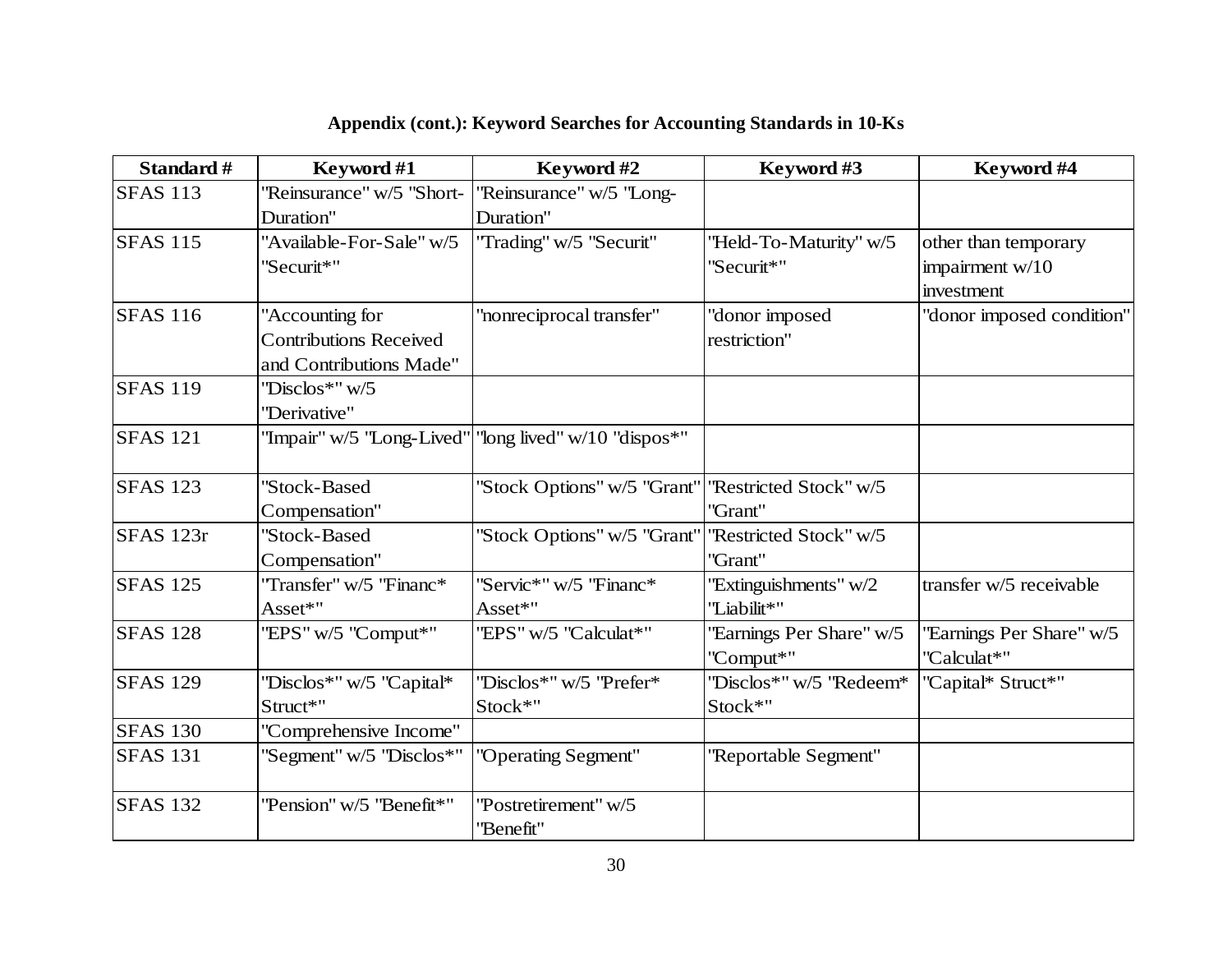| Standard #       | Keyword #1                    | Keyword #2                                              | Keyword #3               | Keyword #4                |
|------------------|-------------------------------|---------------------------------------------------------|--------------------------|---------------------------|
| <b>SFAS 113</b>  | "Reinsurance" w/5 "Short-     | "Reinsurance" w/5 "Long-                                |                          |                           |
|                  | Duration"                     | Duration"                                               |                          |                           |
| <b>SFAS 115</b>  | "Available-For-Sale" w/5      | "Trading" w/5 "Securit"                                 | "Held-To-Maturity" w/5   | other than temporary      |
|                  | "Securit*"                    |                                                         | 'Securit*"               | impairment w/10           |
|                  |                               |                                                         |                          | investment                |
| <b>SFAS 116</b>  | "Accounting for               | "nonreciprocal transfer"                                | 'donor imposed           | "donor imposed condition" |
|                  | <b>Contributions Received</b> |                                                         | restriction"             |                           |
|                  | and Contributions Made"       |                                                         |                          |                           |
| <b>SFAS 119</b>  | "Disclos*" w/5                |                                                         |                          |                           |
|                  | "Derivative"                  |                                                         |                          |                           |
| <b>SFAS 121</b>  |                               | "Impair" w/5 "Long-Lived"   "long lived" w/10 "dispos*" |                          |                           |
| <b>SFAS 123</b>  | "Stock-Based                  | "Stock Options" w/5 "Grant"                             | ''Restricted Stock" w/5  |                           |
|                  | Compensation"                 |                                                         | "Grant"                  |                           |
| <b>SFAS</b> 123r | "Stock-Based                  | "Stock Options" w/5 "Grant"                             | "Restricted Stock" w/5   |                           |
|                  | Compensation"                 |                                                         | "Grant"                  |                           |
| <b>SFAS 125</b>  | "Transfer" w/5 "Financ*       | "Servic*" w/5 "Financ*                                  | "Extinguishments" w/2    | transfer w/5 receivable   |
|                  | Asset*"                       | Asset*"                                                 | "Liabilit*"              |                           |
| <b>SFAS 128</b>  | "EPS" w/5 "Comput*"           | "EPS" w/5 "Calculat*"                                   | 'Earnings Per Share" w/5 | 'Earnings Per Share'' w/5 |
|                  |                               |                                                         | "Comput*"                | "Calculat*"               |
| <b>SFAS 129</b>  | "Disclos*" w/5 "Capital*      | "Disclos*" w/5 "Prefer*                                 | "Disclos*" w/5 "Redeem*  | "Capital* Struct*"        |
|                  | Struct*"                      | Stock*"                                                 | Stock*"                  |                           |
| <b>SFAS 130</b>  | "Comprehensive Income"        |                                                         |                          |                           |
| <b>SFAS 131</b>  | "Segment" w/5 "Disclos*"      | "Operating Segment"                                     | "Reportable Segment"     |                           |
| <b>SFAS 132</b>  | "Pension" w/5 "Benefit*"      | "Postretirement" w/5                                    |                          |                           |
|                  |                               | "Benefit"                                               |                          |                           |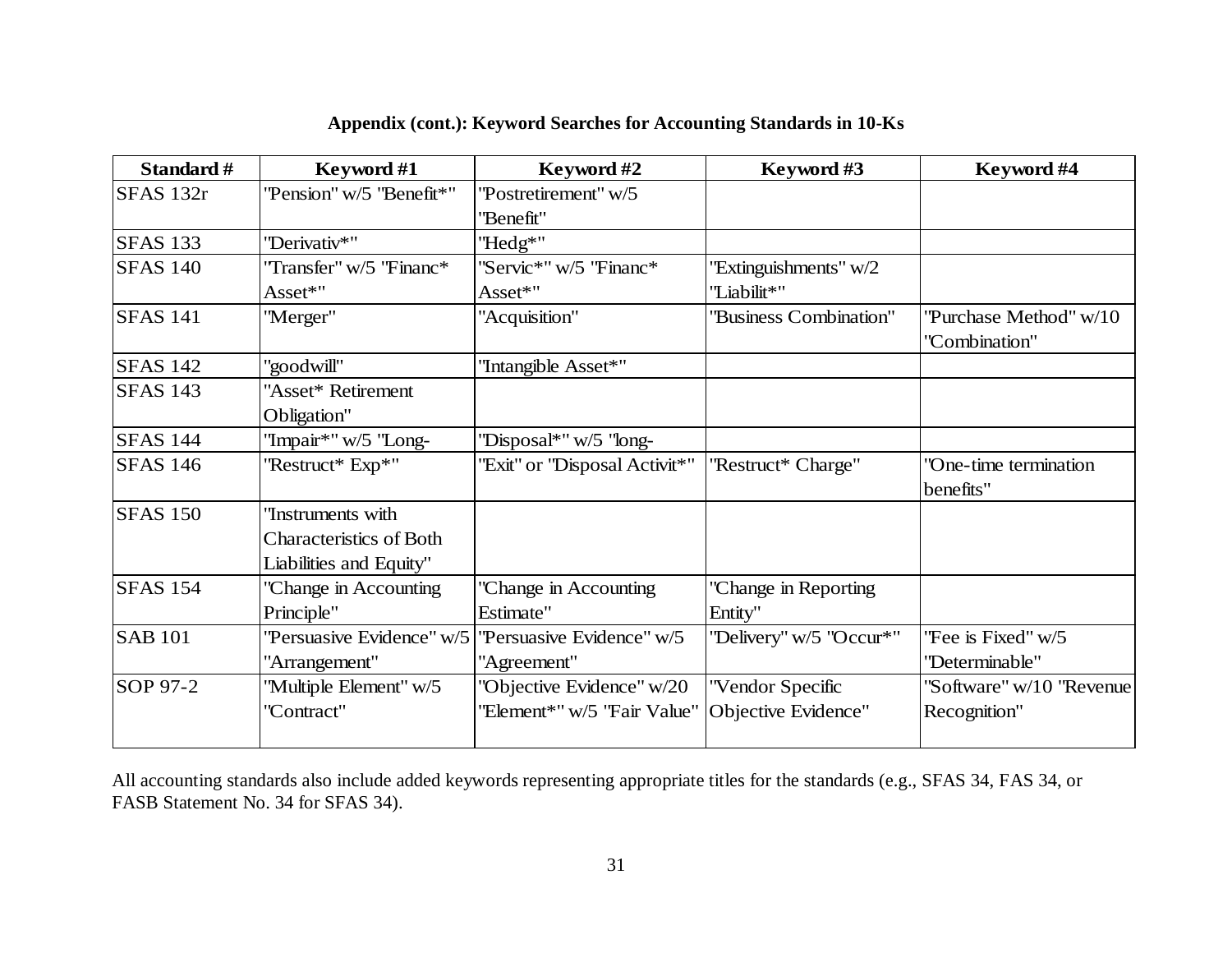| Standard #      | Keyword #1                     | Keyword #2                    |                         | Keyword #4               |
|-----------------|--------------------------------|-------------------------------|-------------------------|--------------------------|
| SFAS 132r       | "Pension" w/5 "Benefit*"       | "Postretirement" w/5          |                         |                          |
|                 |                                | "Benefit"                     |                         |                          |
| <b>SFAS 133</b> | "Derivativ*"                   | "Hedg*"                       |                         |                          |
| <b>SFAS 140</b> | "Transfer" w/5 "Financ*        | "Servic*" w/5 "Financ*        | 'Extinguishments'' w/2  |                          |
|                 | Asset*"                        | Asset*"                       | "Liabilit*"             |                          |
| <b>SFAS 141</b> | "Merger"                       | "Acquisition"                 | 'Business Combination"  | "Purchase Method" w/10   |
|                 |                                |                               |                         | "Combination"            |
| <b>SFAS 142</b> | "goodwill"                     | "Intangible Asset*"           |                         |                          |
| <b>SFAS 143</b> | 'Asset* Retirement             |                               |                         |                          |
|                 | Obligation"                    |                               |                         |                          |
| <b>SFAS 144</b> | "Impair*" w/5 "Long-           | "Disposal*" w/5 "long-        |                         |                          |
| <b>SFAS</b> 146 | "Restruct* Exp*"               | 'Exit" or "Disposal Activit*" | "Restruct* Charge"      | "One-time termination    |
|                 |                                |                               |                         | benefits"                |
| <b>SFAS 150</b> | Tnstruments with               |                               |                         |                          |
|                 | <b>Characteristics of Both</b> |                               |                         |                          |
|                 | Liabilities and Equity"        |                               |                         |                          |
| <b>SFAS 154</b> | 'Change in Accounting          | 'Change in Accounting         | 'Change in Reporting    |                          |
|                 | Principle"                     | Estimate"                     | Entity"                 |                          |
| <b>SAB 101</b>  | "Persuasive Evidence" w/5      | "Persuasive Evidence" w/5     | "Delivery" w/5 "Occur*" | "Fee is Fixed" w/5       |
|                 | "Arrangement"                  | "Agreement"                   |                         | "Determinable"           |
| SOP 97-2        | "Multiple Element" w/5         | "Objective Evidence" w/20     | "Vendor Specific        | "Software" w/10 "Revenue |
|                 | "Contract"                     | "Element*" w/5 "Fair Value"   | Objective Evidence"     | Recognition"             |
|                 |                                |                               |                         |                          |

All accounting standards also include added keywords representing appropriate titles for the standards (e.g., SFAS 34, FAS 34, or FASB Statement No. 34 for SFAS 34).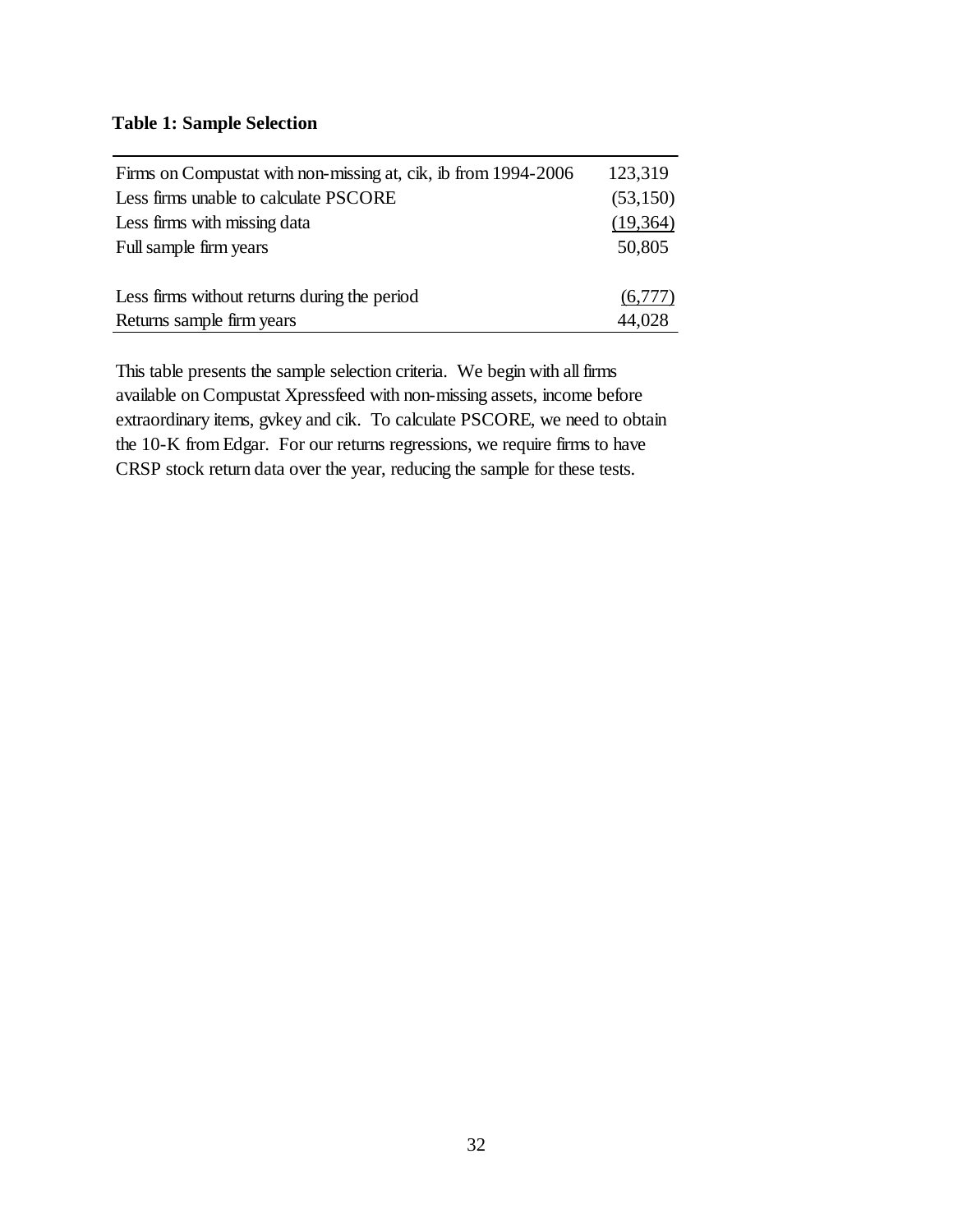# **Table 1: Sample Selection**

| Firms on Compustat with non-missing at, cik, ib from 1994-2006 | 123,319  |
|----------------------------------------------------------------|----------|
| Less firms unable to calculate PSCORE                          | (53,150) |
| Less firms with missing data                                   | (19,364) |
| Full sample firm years                                         | 50,805   |
|                                                                |          |
| Less firms without returns during the period                   | (6,777)  |
| Returns sample firm years                                      | 44,028   |

This table presents the sample selection criteria. We begin with all firms available on Compustat Xpressfeed with non-missing assets, income before extraordinary items, gvkey and cik. To calculate PSCORE, we need to obtain the 10-K from Edgar. For our returns regressions, we require firms to have CRSP stock return data over the year, reducing the sample for these tests.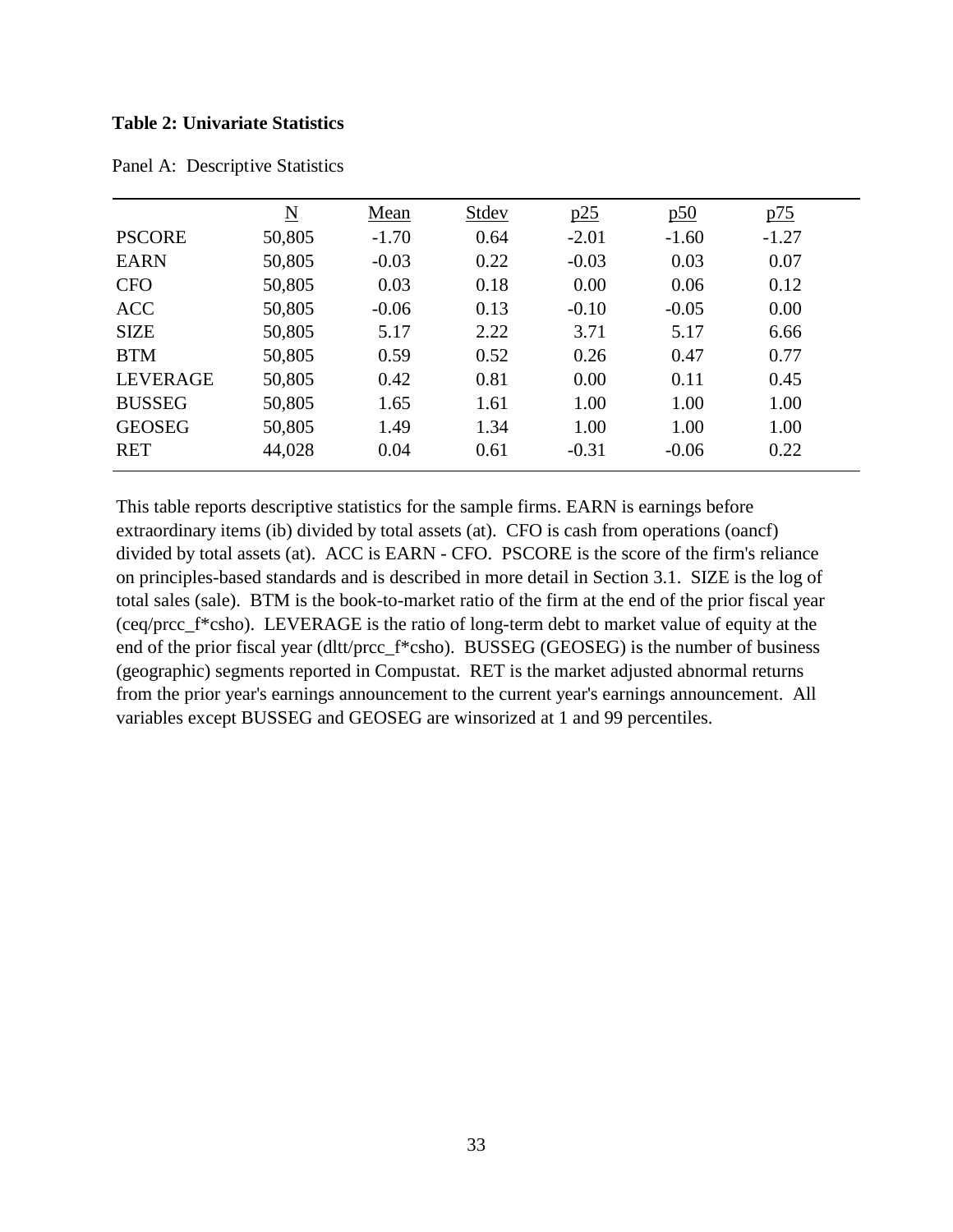#### **Table 2: Univariate Statistics**

|                 | $\underline{N}$ | Mean    | Stdev | p25     | $\overline{250}$ | <u>p75</u> |  |
|-----------------|-----------------|---------|-------|---------|------------------|------------|--|
| <b>PSCORE</b>   | 50,805          | $-1.70$ | 0.64  | $-2.01$ | $-1.60$          | $-1.27$    |  |
| <b>EARN</b>     | 50,805          | $-0.03$ | 0.22  | $-0.03$ | 0.03             | 0.07       |  |
| <b>CFO</b>      | 50,805          | 0.03    | 0.18  | 0.00    | 0.06             | 0.12       |  |
| <b>ACC</b>      | 50,805          | $-0.06$ | 0.13  | $-0.10$ | $-0.05$          | 0.00       |  |
| <b>SIZE</b>     | 50,805          | 5.17    | 2.22  | 3.71    | 5.17             | 6.66       |  |
| <b>BTM</b>      | 50,805          | 0.59    | 0.52  | 0.26    | 0.47             | 0.77       |  |
| <b>LEVERAGE</b> | 50,805          | 0.42    | 0.81  | 0.00    | 0.11             | 0.45       |  |
| <b>BUSSEG</b>   | 50,805          | 1.65    | 1.61  | 1.00    | 1.00             | 1.00       |  |
| <b>GEOSEG</b>   | 50,805          | 1.49    | 1.34  | 1.00    | 1.00             | 1.00       |  |
| <b>RET</b>      | 44,028          | 0.04    | 0.61  | $-0.31$ | $-0.06$          | 0.22       |  |

Panel A: Descriptive Statistics

This table reports descriptive statistics for the sample firms. EARN is earnings before extraordinary items (ib) divided by total assets (at). CFO is cash from operations (oancf) divided by total assets (at). ACC is EARN - CFO. PSCORE is the score of the firm's reliance on principles-based standards and is described in more detail in Section 3.1. SIZE is the log of total sales (sale). BTM is the book-to-market ratio of the firm at the end of the prior fiscal year (ceq/prcc\_f\*csho). LEVERAGE is the ratio of long-term debt to market value of equity at the end of the prior fiscal year (dltt/prcc\_f\*csho). BUSSEG (GEOSEG) is the number of business (geographic) segments reported in Compustat. RET is the market adjusted abnormal returns from the prior year's earnings announcement to the current year's earnings announcement. All variables except BUSSEG and GEOSEG are winsorized at 1 and 99 percentiles.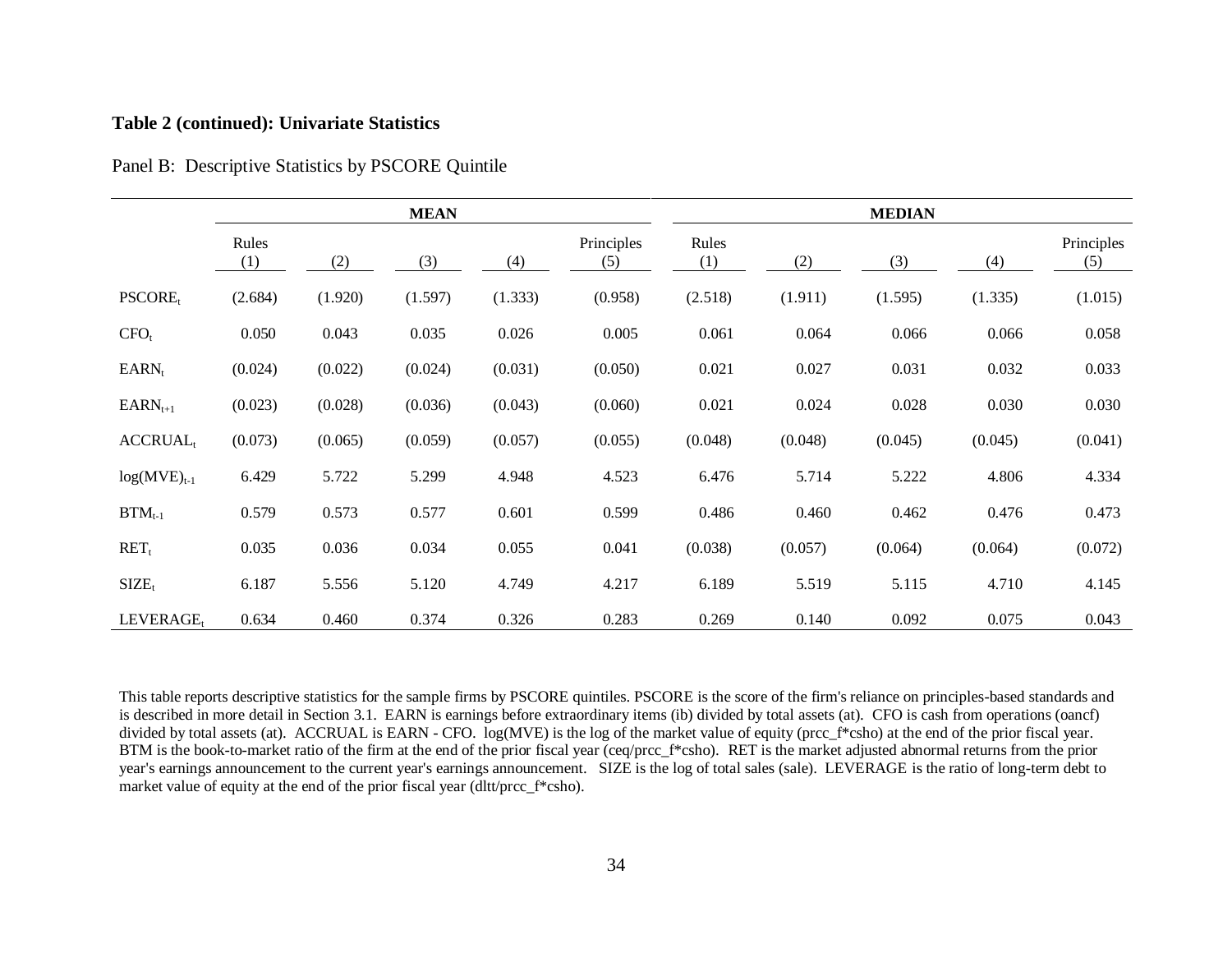### **Table 2 (continued): Univariate Statistics**

|                     |              |         | <b>MEAN</b> |         |                   |              |         | <b>MEDIAN</b> |         |                   |
|---------------------|--------------|---------|-------------|---------|-------------------|--------------|---------|---------------|---------|-------------------|
|                     | Rules<br>(1) | (2)     | (3)         | (4)     | Principles<br>(5) | Rules<br>(1) | (2)     | (3)           | (4)     | Principles<br>(5) |
| PSCORE <sub>t</sub> | (2.684)      | (1.920) | (1.597)     | (1.333) | (0.958)           | (2.518)      | (1.911) | (1.595)       | (1.335) | (1.015)           |
| $CFO_t$             | 0.050        | 0.043   | 0.035       | 0.026   | 0.005             | 0.061        | 0.064   | 0.066         | 0.066   | 0.058             |
| $EARN_t$            | (0.024)      | (0.022) | (0.024)     | (0.031) | (0.050)           | 0.021        | 0.027   | 0.031         | 0.032   | 0.033             |
| $EARN_{t+1}$        | (0.023)      | (0.028) | (0.036)     | (0.043) | (0.060)           | 0.021        | 0.024   | 0.028         | 0.030   | 0.030             |
| $\text{ACCRUAL}_t$  | (0.073)      | (0.065) | (0.059)     | (0.057) | (0.055)           | (0.048)      | (0.048) | (0.045)       | (0.045) | (0.041)           |
| $log(MVE)_{t-1}$    | 6.429        | 5.722   | 5.299       | 4.948   | 4.523             | 6.476        | 5.714   | 5.222         | 4.806   | 4.334             |
| $BTM_{t-1}$         | 0.579        | 0.573   | 0.577       | 0.601   | 0.599             | 0.486        | 0.460   | 0.462         | 0.476   | 0.473             |
| $RET_t$             | 0.035        | 0.036   | 0.034       | 0.055   | 0.041             | (0.038)      | (0.057) | (0.064)       | (0.064) | (0.072)           |
| $SIZE_t$            | 6.187        | 5.556   | 5.120       | 4.749   | 4.217             | 6.189        | 5.519   | 5.115         | 4.710   | 4.145             |
| $LEVERAGE_t$        | 0.634        | 0.460   | 0.374       | 0.326   | 0.283             | 0.269        | 0.140   | 0.092         | 0.075   | 0.043             |

Panel B: Descriptive Statistics by PSCORE Quintile

This table reports descriptive statistics for the sample firms by PSCORE quintiles. PSCORE is the score of the firm's reliance on principles-based standards and is described in more detail in Section 3.1. EARN is earnings before extraordinary items (ib) divided by total assets (at). CFO is cash from operations (oancf) divided by total assets (at). ACCRUAL is EARN - CFO. log(MVE) is the log of the market value of equity (prcc\_f\*csho) at the end of the prior fiscal year. BTM is the book-to-market ratio of the firm at the end of the prior fiscal year (ceq/prcc\_f\*csho). RET is the market adjusted abnormal returns from the prior year's earnings announcement to the current year's earnings announcement. SIZE is the log of total sales (sale). LEVERAGE is the ratio of long-term debt to market value of equity at the end of the prior fiscal year (dltt/prcc\_f\*csho).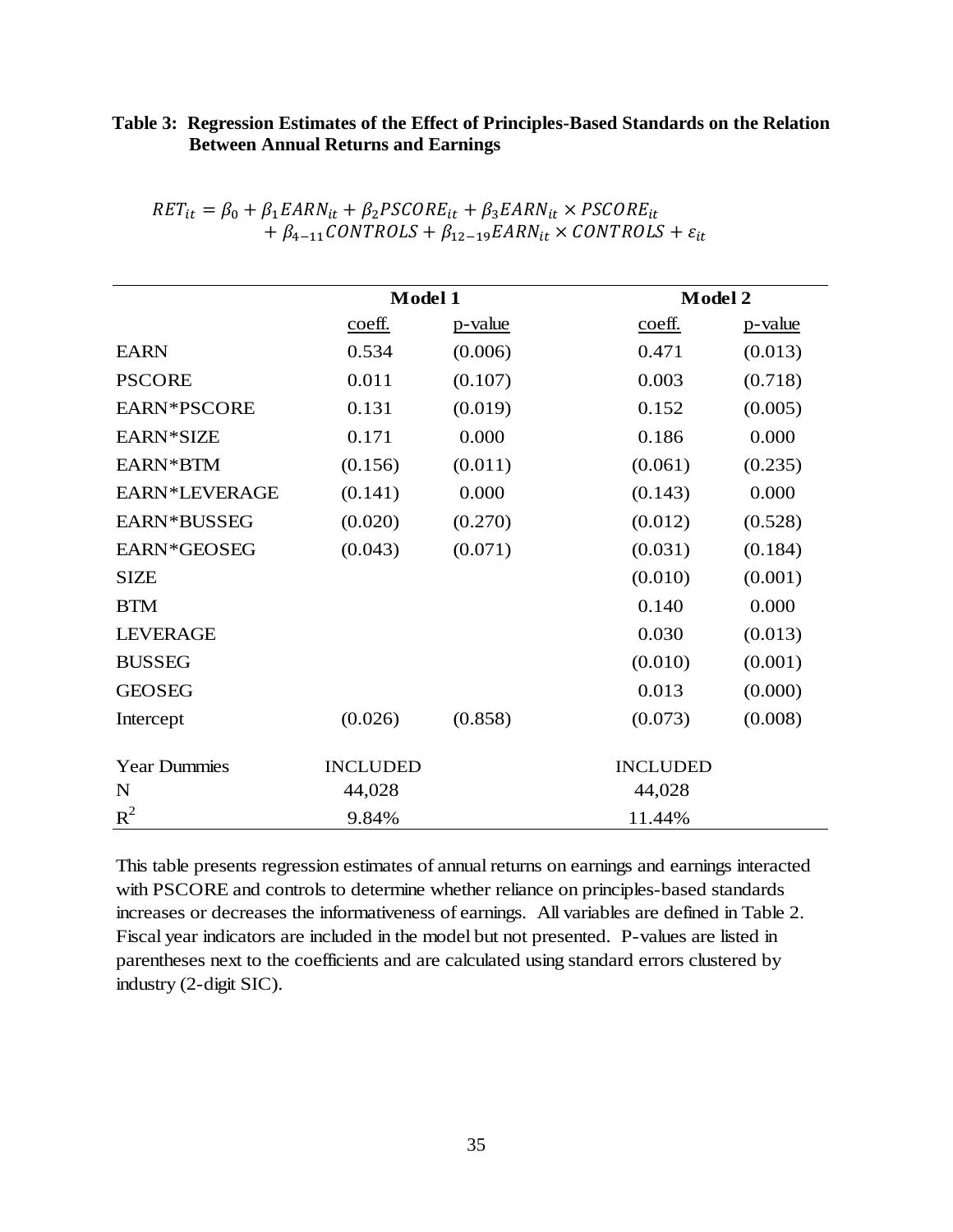# **Table 3: Regression Estimates of the Effect of Principles-Based Standards on the Relation Between Annual Returns and Earnings**

|                     | Model 1         |         | <b>Model 2</b>  |         |  |
|---------------------|-----------------|---------|-----------------|---------|--|
|                     | coeff.          | p-value | coeff.          | p-value |  |
| <b>EARN</b>         | 0.534           | (0.006) | 0.471           | (0.013) |  |
| <b>PSCORE</b>       | 0.011           | (0.107) | 0.003           | (0.718) |  |
| EARN*PSCORE         | 0.131           | (0.019) | 0.152           | (0.005) |  |
| EARN*SIZE           | 0.171           | 0.000   | 0.186           | 0.000   |  |
| EARN*BTM            | (0.156)         | (0.011) | (0.061)         | (0.235) |  |
| EARN*LEVERAGE       | (0.141)         | 0.000   | (0.143)         | 0.000   |  |
| EARN*BUSSEG         | (0.020)         | (0.270) | (0.012)         | (0.528) |  |
| EARN*GEOSEG         | (0.043)         | (0.071) | (0.031)         | (0.184) |  |
| <b>SIZE</b>         |                 |         | (0.010)         | (0.001) |  |
| <b>BTM</b>          |                 |         | 0.140           | 0.000   |  |
| <b>LEVERAGE</b>     |                 |         | 0.030           | (0.013) |  |
| <b>BUSSEG</b>       |                 |         | (0.010)         | (0.001) |  |
| <b>GEOSEG</b>       |                 |         | 0.013           | (0.000) |  |
| Intercept           | (0.026)         | (0.858) | (0.073)         | (0.008) |  |
| <b>Year Dummies</b> | <b>INCLUDED</b> |         | <b>INCLUDED</b> |         |  |
| N                   | 44,028          |         | 44,028          |         |  |
| $R^2$               | 9.84%           |         | 11.44%          |         |  |

| $RET_{it} = \beta_0 + \beta_1 EARN_{it} + \beta_2 PSCORE_{it} + \beta_3 EARN_{it} \times PSCORE_{it}$ |  |
|-------------------------------------------------------------------------------------------------------|--|
| $+\beta_{4-11}$ CONTROLS + $\beta_{12-19}$ EARN <sub>it</sub> × CONTROLS + $\varepsilon_{it}$         |  |

This table presents regression estimates of annual returns on earnings and earnings interacted with PSCORE and controls to determine whether reliance on principles-based standards increases or decreases the informativeness of earnings. All variables are defined in Table 2. Fiscal year indicators are included in the model but not presented. P-values are listed in parentheses next to the coefficients and are calculated using standard errors clustered by industry (2-digit SIC).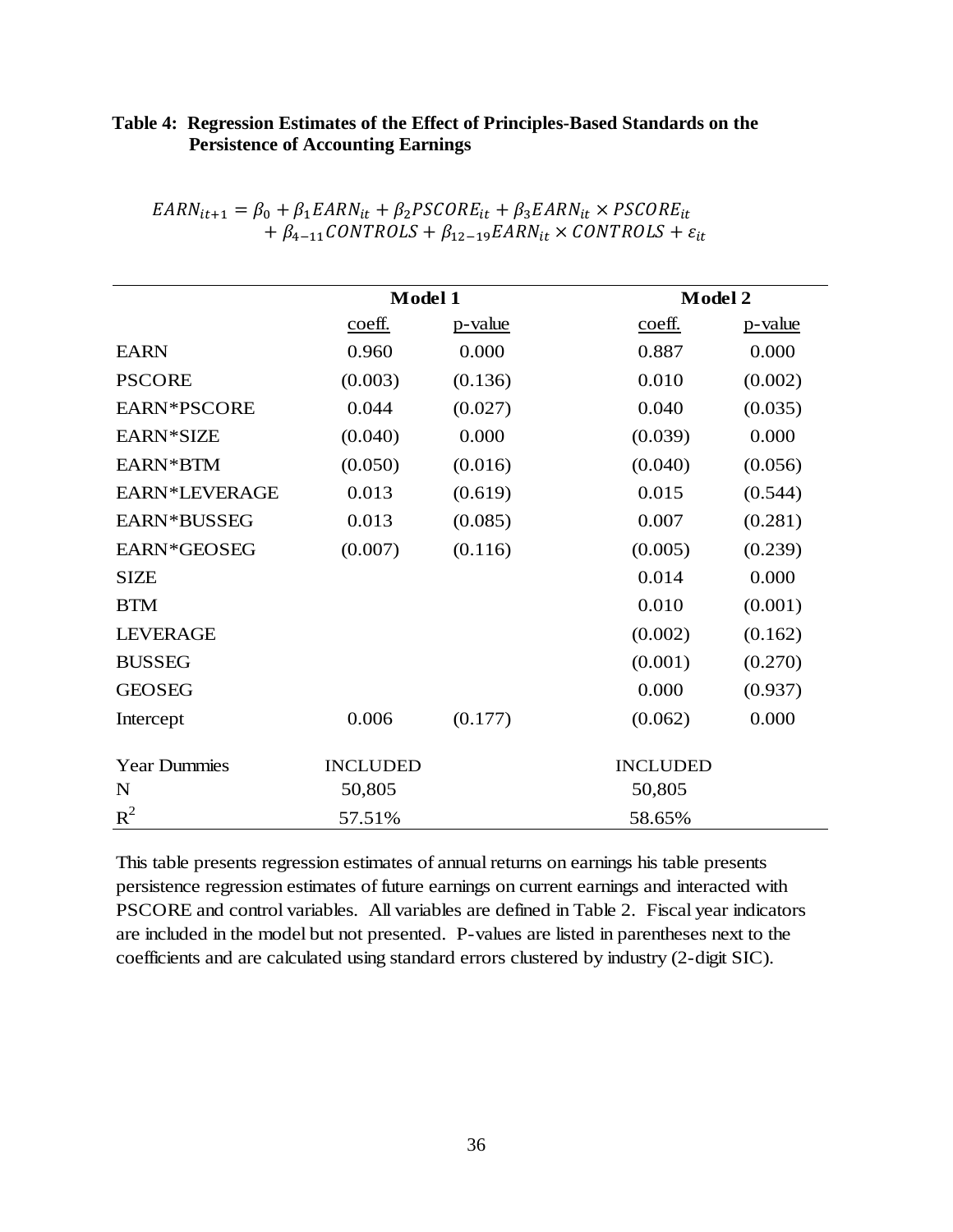# **Table 4: Regression Estimates of the Effect of Principles-Based Standards on the Persistence of Accounting Earnings**

|                     |                                          | Model 1 |                 | <b>Model 2</b> |
|---------------------|------------------------------------------|---------|-----------------|----------------|
|                     | $\overline{\underline{\mathrm{coeff}}}.$ | p-value | coeff.          | p-value        |
| <b>EARN</b>         | 0.960                                    | 0.000   | 0.887           | 0.000          |
| <b>PSCORE</b>       | (0.003)                                  | (0.136) | 0.010           | (0.002)        |
| EARN*PSCORE         | 0.044                                    | (0.027) | 0.040           | (0.035)        |
| EARN*SIZE           | (0.040)                                  | 0.000   | (0.039)         | 0.000          |
| EARN*BTM            | (0.050)                                  | (0.016) | (0.040)         | (0.056)        |
| EARN*LEVERAGE       | 0.013                                    | (0.619) | 0.015           | (0.544)        |
| EARN*BUSSEG         | 0.013                                    | (0.085) | 0.007           | (0.281)        |
| EARN*GEOSEG         | (0.007)                                  | (0.116) | (0.005)         | (0.239)        |
| <b>SIZE</b>         |                                          |         | 0.014           | 0.000          |
| <b>BTM</b>          |                                          |         | 0.010           | (0.001)        |
| <b>LEVERAGE</b>     |                                          |         | (0.002)         | (0.162)        |
| <b>BUSSEG</b>       |                                          |         | (0.001)         | (0.270)        |
| <b>GEOSEG</b>       |                                          |         | 0.000           | (0.937)        |
| Intercept           | 0.006                                    | (0.177) | (0.062)         | 0.000          |
| <b>Year Dummies</b> | <b>INCLUDED</b>                          |         | <b>INCLUDED</b> |                |
| N                   | 50,805                                   |         | 50,805          |                |
| $R^2$               | 57.51%                                   |         | 58.65%          |                |

| $EARN_{it+1} = \beta_0 + \beta_1 EARN_{it} + \beta_2 PSCORE_{it} + \beta_3 EARN_{it} \times PSCORE_{it}$ |
|----------------------------------------------------------------------------------------------------------|
| $+\beta_{4-11}$ CONTROLS + $\beta_{12-19}$ EARN <sub>it</sub> × CONTROLS + $\varepsilon_{it}$            |

This table presents regression estimates of annual returns on earnings his table presents persistence regression estimates of future earnings on current earnings and interacted with PSCORE and control variables. All variables are defined in Table 2. Fiscal year indicators are included in the model but not presented. P-values are listed in parentheses next to the coefficients and are calculated using standard errors clustered by industry (2-digit SIC).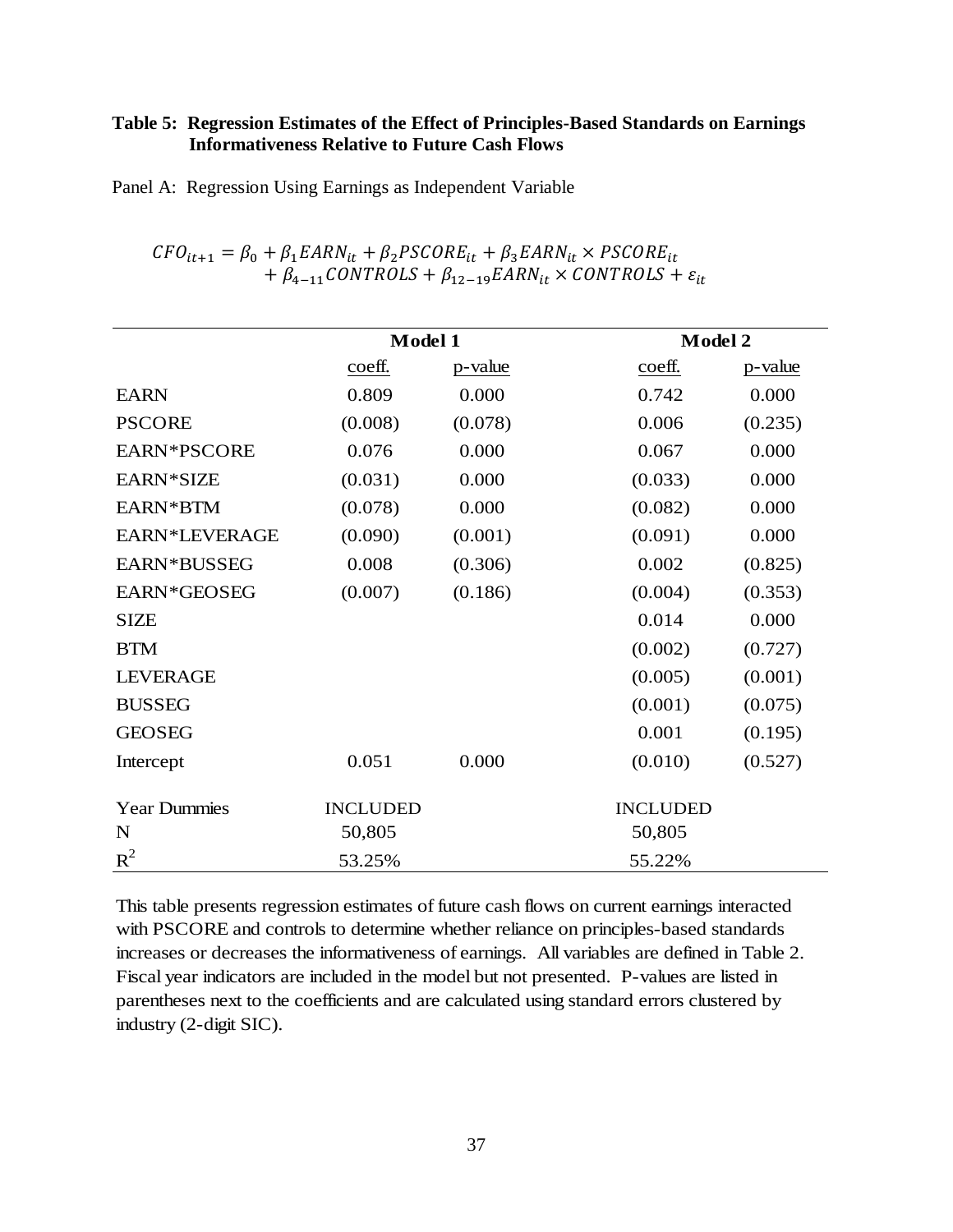## **Table 5: Regression Estimates of the Effect of Principles-Based Standards on Earnings Informativeness Relative to Future Cash Flows**

Panel A: Regression Using Earnings as Independent Variable

|                     | Model 1         |         | Model 2         |         |
|---------------------|-----------------|---------|-----------------|---------|
|                     | coeff.          | p-value | coeff.          | p-value |
| <b>EARN</b>         | 0.809           | 0.000   | 0.742           | 0.000   |
| <b>PSCORE</b>       | (0.008)         | (0.078) | 0.006           | (0.235) |
| EARN*PSCORE         | 0.076           | 0.000   | 0.067           | 0.000   |
| EARN*SIZE           | (0.031)         | 0.000   | (0.033)         | 0.000   |
| EARN*BTM            | (0.078)         | 0.000   | (0.082)         | 0.000   |
| EARN*LEVERAGE       | (0.090)         | (0.001) | (0.091)         | 0.000   |
| EARN*BUSSEG         | 0.008           | (0.306) | 0.002           | (0.825) |
| EARN*GEOSEG         | (0.007)         | (0.186) | (0.004)         | (0.353) |
| <b>SIZE</b>         |                 |         | 0.014           | 0.000   |
| <b>BTM</b>          |                 |         | (0.002)         | (0.727) |
| <b>LEVERAGE</b>     |                 |         | (0.005)         | (0.001) |
| <b>BUSSEG</b>       |                 |         | (0.001)         | (0.075) |
| <b>GEOSEG</b>       |                 |         | 0.001           | (0.195) |
| Intercept           | 0.051           | 0.000   | (0.010)         | (0.527) |
| <b>Year Dummies</b> | <b>INCLUDED</b> |         | <b>INCLUDED</b> |         |
| N                   | 50,805          |         | 50,805          |         |
| $R^2$               | 53.25%          |         | 55.22%          |         |

 $CFO_{it+1} = \beta_0 + \beta_1 EARN_{it} + \beta_2 PSCORE_{it} + \beta_3 EARN_{it} \times PSCORE_{it}$ +  $\beta_{4-11}$ CONTROLS +  $\beta_{12-19}$ EARN<sub>it</sub> × CONTROLS +  $\varepsilon_{it}$ 

This table presents regression estimates of future cash flows on current earnings interacted with PSCORE and controls to determine whether reliance on principles-based standards increases or decreases the informativeness of earnings. All variables are defined in Table 2. Fiscal year indicators are included in the model but not presented. P-values are listed in parentheses next to the coefficients and are calculated using standard errors clustered by industry (2-digit SIC).